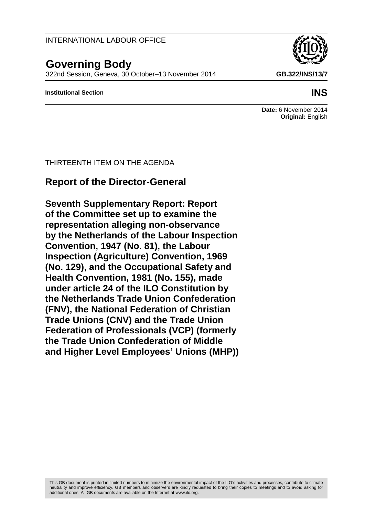# INTERNATIONAL LABOUR OFFICE

THIRTEENTH ITEM ON THE AGENDA

**Report of the Director-General**

**Seventh Supplementary Report: Report of the Committee set up to examine the representation alleging non-observance**

**Convention, 1947 (No. 81), the Labour** 

**by the Netherlands of the Labour Inspection** 

**Inspection (Agriculture) Convention, 1969 (No. 129), and the Occupational Safety and Health Convention, 1981 (No. 155), made under article 24 of the ILO Constitution by the Netherlands Trade Union Confederation (FNV), the National Federation of Christian Trade Unions (CNV) and the Trade Union** 

**Federation of Professionals (VCP) (formerly** 

**and Higher Level Employees' Unions (MHP))**

**the Trade Union Confederation of Middle** 

# **Governing Body**

322nd Session, Geneva, 30 October–13 November 2014 **GB.322/INS/13/7**

#### **Institutional Section INS**

**Date:** 6 November 2014 **Original:** English

This GB document is printed in limited numbers to minimize the environmental impact of the ILO's activities and processes, contribute to climate neutrality and improve efficiency. GB members and observers are kindly requested to bring their copies to meetings and to avoid asking for additional ones. All GB documents are available on the Internet at www.jlo.org.

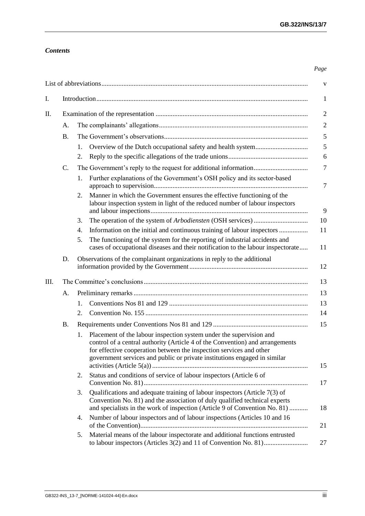# *Contents*

#### *Page*

|    |           |                                                                                |                                                                                                                                                                                                                                                                                                          | $\mathbf V$    |  |  |
|----|-----------|--------------------------------------------------------------------------------|----------------------------------------------------------------------------------------------------------------------------------------------------------------------------------------------------------------------------------------------------------------------------------------------------------|----------------|--|--|
| I. |           | $\mathbf{1}$                                                                   |                                                                                                                                                                                                                                                                                                          |                |  |  |
| П. |           |                                                                                |                                                                                                                                                                                                                                                                                                          |                |  |  |
|    | A.        |                                                                                |                                                                                                                                                                                                                                                                                                          |                |  |  |
|    | В.        |                                                                                |                                                                                                                                                                                                                                                                                                          |                |  |  |
|    |           | 1.<br>2.                                                                       |                                                                                                                                                                                                                                                                                                          | 5<br>6         |  |  |
|    | C.        | $\overline{7}$                                                                 |                                                                                                                                                                                                                                                                                                          |                |  |  |
|    |           | 1.                                                                             | Further explanations of the Government's OSH policy and its sector-based                                                                                                                                                                                                                                 | $\overline{7}$ |  |  |
|    |           | 2.                                                                             | Manner in which the Government ensures the effective functioning of the<br>labour inspection system in light of the reduced number of labour inspectors                                                                                                                                                  | 9              |  |  |
|    |           | 3.                                                                             |                                                                                                                                                                                                                                                                                                          | 10             |  |  |
|    |           | 4.                                                                             |                                                                                                                                                                                                                                                                                                          | 11             |  |  |
|    |           | 5.                                                                             | The functioning of the system for the reporting of industrial accidents and<br>cases of occupational diseases and their notification to the labour inspectorate                                                                                                                                          | 11             |  |  |
|    | D.        | Observations of the complainant organizations in reply to the additional<br>12 |                                                                                                                                                                                                                                                                                                          |                |  |  |
| Ш. | 13        |                                                                                |                                                                                                                                                                                                                                                                                                          |                |  |  |
|    | A.        |                                                                                |                                                                                                                                                                                                                                                                                                          | 13             |  |  |
|    |           | $\mathbf{1}$ .                                                                 |                                                                                                                                                                                                                                                                                                          | 13             |  |  |
|    |           | 2.                                                                             |                                                                                                                                                                                                                                                                                                          | 14             |  |  |
|    | <b>B.</b> | 15                                                                             |                                                                                                                                                                                                                                                                                                          |                |  |  |
|    |           | 1.                                                                             | Placement of the labour inspection system under the supervision and<br>control of a central authority (Article 4 of the Convention) and arrangements<br>for effective cooperation between the inspection services and other<br>government services and public or private institutions engaged in similar | 15             |  |  |
|    |           | 2.                                                                             | Status and conditions of service of labour inspectors (Article 6 of                                                                                                                                                                                                                                      | 17             |  |  |
|    |           | 3.                                                                             | Qualifications and adequate training of labour inspectors (Article 7(3) of<br>Convention No. 81) and the association of duly qualified technical experts<br>and specialists in the work of inspection (Article 9 of Convention No. 81)                                                                   | 18             |  |  |
|    |           | 4.                                                                             | Number of labour inspectors and of labour inspections (Articles 10 and 16                                                                                                                                                                                                                                | 21             |  |  |
|    |           | 5.                                                                             | Material means of the labour inspectorate and additional functions entrusted                                                                                                                                                                                                                             | 27             |  |  |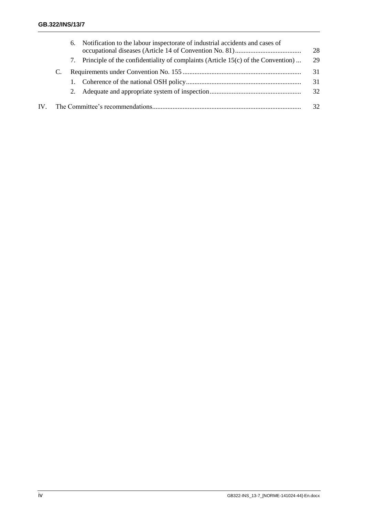|     |  | 6. | Notification to the labour inspectorate of industrial accidents and cases of        | 28 |
|-----|--|----|-------------------------------------------------------------------------------------|----|
|     |  |    | 7. Principle of the confidentiality of complaints (Article 15(c) of the Convention) | 29 |
|     |  |    |                                                                                     |    |
|     |  |    |                                                                                     | 31 |
|     |  |    |                                                                                     | 32 |
| IV. |  |    |                                                                                     | 32 |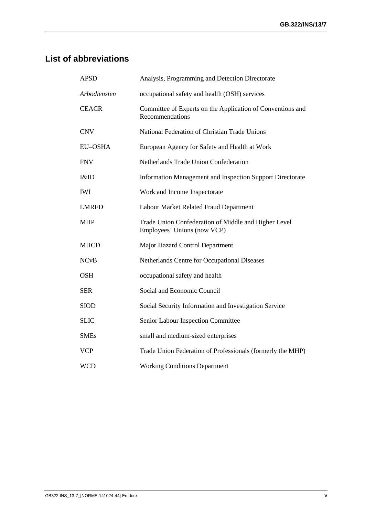# <span id="page-3-0"></span>**List of abbreviations**

| <b>APSD</b>  | Analysis, Programming and Detection Directorate                                     |
|--------------|-------------------------------------------------------------------------------------|
| Arbodiensten | occupational safety and health (OSH) services                                       |
| <b>CEACR</b> | Committee of Experts on the Application of Conventions and<br>Recommendations       |
| <b>CNV</b>   | National Federation of Christian Trade Unions                                       |
| EU-OSHA      | European Agency for Safety and Health at Work                                       |
| <b>FNV</b>   | Netherlands Trade Union Confederation                                               |
| $l$ &ID      | Information Management and Inspection Support Directorate                           |
| <b>IWI</b>   | Work and Income Inspectorate                                                        |
| <b>LMRFD</b> | Labour Market Related Fraud Department                                              |
| <b>MHP</b>   | Trade Union Confederation of Middle and Higher Level<br>Employees' Unions (now VCP) |
| <b>MHCD</b>  | Major Hazard Control Department                                                     |
| <b>NCvB</b>  | Netherlands Centre for Occupational Diseases                                        |
| <b>OSH</b>   | occupational safety and health                                                      |
| <b>SER</b>   | Social and Economic Council                                                         |
| <b>SIOD</b>  | Social Security Information and Investigation Service                               |
| <b>SLIC</b>  | Senior Labour Inspection Committee                                                  |
| <b>SMEs</b>  | small and medium-sized enterprises                                                  |
| <b>VCP</b>   | Trade Union Federation of Professionals (formerly the MHP)                          |
| <b>WCD</b>   | <b>Working Conditions Department</b>                                                |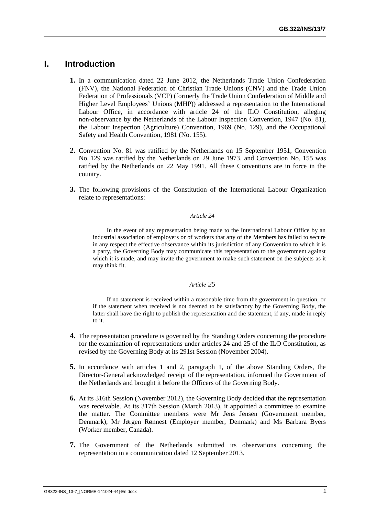# <span id="page-4-0"></span>**I. Introduction**

- **1.** In a communication dated 22 June 2012, the Netherlands Trade Union Confederation (FNV), the National Federation of Christian Trade Unions (CNV) and the Trade Union Federation of Professionals (VCP) (formerly the Trade Union Confederation of Middle and Higher Level Employees' Unions (MHP)) addressed a representation to the International Labour Office, in accordance with article 24 of the ILO Constitution, alleging non-observance by the Netherlands of the Labour Inspection Convention, 1947 (No. 81), the Labour Inspection (Agriculture) Convention, 1969 (No. 129), and the Occupational Safety and Health Convention, 1981 (No. 155).
- **2.** Convention No. 81 was ratified by the Netherlands on 15 September 1951, Convention No. 129 was ratified by the Netherlands on 29 June 1973, and Convention No. 155 was ratified by the Netherlands on 22 May 1991. All these Conventions are in force in the country.
- **3.** The following provisions of the Constitution of the International Labour Organization relate to representations:

#### *Article 24*

In the event of any representation being made to the International Labour Office by an industrial association of employers or of workers that any of the Members has failed to secure in any respect the effective observance within its jurisdiction of any Convention to which it is a party, the Governing Body may communicate this representation to the government against which it is made, and may invite the government to make such statement on the subjects as it may think fit.

#### *Article 25*

If no statement is received within a reasonable time from the government in question, or if the statement when received is not deemed to be satisfactory by the Governing Body, the latter shall have the right to publish the representation and the statement, if any, made in reply to it.

- **4.** The representation procedure is governed by the Standing Orders concerning the procedure for the examination of representations under articles 24 and 25 of the ILO Constitution, as revised by the Governing Body at its 291st Session (November 2004).
- **5.** In accordance with articles 1 and 2, paragraph 1, of the above Standing Orders, the Director-General acknowledged receipt of the representation, informed the Government of the Netherlands and brought it before the Officers of the Governing Body.
- **6.** At its 316th Session (November 2012), the Governing Body decided that the representation was receivable. At its 317th Session (March 2013), it appointed a committee to examine the matter. The Committee members were Mr Jens Jensen (Government member, Denmark), Mr Jørgen Rønnest (Employer member, Denmark) and Ms Barbara Byers (Worker member, Canada).
- **7.** The Government of the Netherlands submitted its observations concerning the representation in a communication dated 12 September 2013.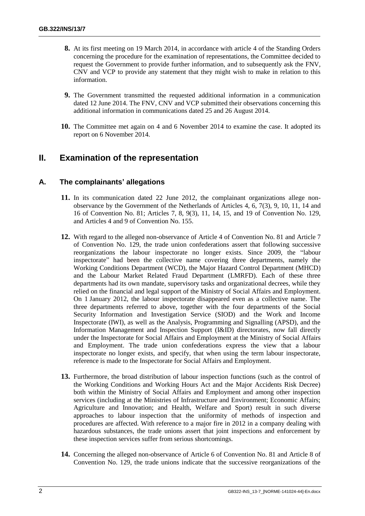- **8.** At its first meeting on 19 March 2014, in accordance with article 4 of the Standing Orders concerning the procedure for the examination of representations, the Committee decided to request the Government to provide further information, and to subsequently ask the FNV, CNV and VCP to provide any statement that they might wish to make in relation to this information.
- **9.** The Government transmitted the requested additional information in a communication dated 12 June 2014. The FNV, CNV and VCP submitted their observations concerning this additional information in communications dated 25 and 26 August 2014.
- **10.** The Committee met again on 4 and 6 November 2014 to examine the case. It adopted its report on 6 November 2014.

# <span id="page-5-0"></span>**II. Examination of the representation**

# <span id="page-5-1"></span>**A. The complainants' allegations**

- **11.** In its communication dated 22 June 2012, the complainant organizations allege nonobservance by the Government of the Netherlands of Articles 4, 6, 7(3), 9, 10, 11, 14 and 16 of Convention No. 81; Articles 7, 8, 9(3), 11, 14, 15, and 19 of Convention No. 129, and Articles 4 and 9 of Convention No. 155.
- **12.** With regard to the alleged non-observance of Article 4 of Convention No. 81 and Article 7 of Convention No. 129, the trade union confederations assert that following successive reorganizations the labour inspectorate no longer exists. Since 2009, the "labour inspectorate" had been the collective name covering three departments, namely the Working Conditions Department (WCD), the Major Hazard Control Department (MHCD) and the Labour Market Related Fraud Department (LMRFD). Each of these three departments had its own mandate, supervisory tasks and organizational decrees, while they relied on the financial and legal support of the Ministry of Social Affairs and Employment. On 1 January 2012, the labour inspectorate disappeared even as a collective name. The three departments referred to above, together with the four departments of the Social Security Information and Investigation Service (SIOD) and the Work and Income Inspectorate (IWI), as well as the Analysis, Programming and Signalling (APSD), and the Information Management and Inspection Support (I&ID) directorates, now fall directly under the Inspectorate for Social Affairs and Employment at the Ministry of Social Affairs and Employment. The trade union confederations express the view that a labour inspectorate no longer exists, and specify, that when using the term labour inspectorate, reference is made to the Inspectorate for Social Affairs and Employment.
- **13.** Furthermore, the broad distribution of labour inspection functions (such as the control of the Working Conditions and Working Hours Act and the Major Accidents Risk Decree) both within the Ministry of Social Affairs and Employment and among other inspection services (including at the Ministries of Infrastructure and Environment; Economic Affairs; Agriculture and Innovation; and Health, Welfare and Sport) result in such diverse approaches to labour inspection that the uniformity of methods of inspection and procedures are affected. With reference to a major fire in 2012 in a company dealing with hazardous substances, the trade unions assert that joint inspections and enforcement by these inspection services suffer from serious shortcomings.
- **14.** Concerning the alleged non-observance of Article 6 of Convention No. 81 and Article 8 of Convention No. 129, the trade unions indicate that the successive reorganizations of the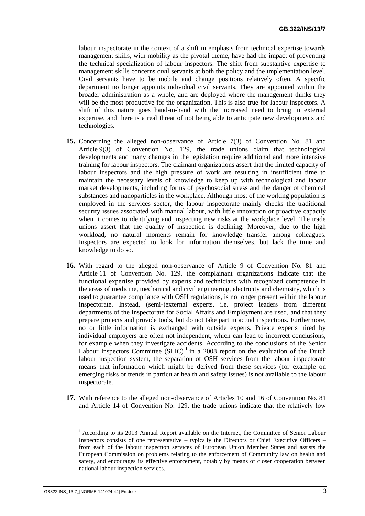labour inspectorate in the context of a shift in emphasis from technical expertise towards management skills, with mobility as the pivotal theme, have had the impact of preventing the technical specialization of labour inspectors. The shift from substantive expertise to management skills concerns civil servants at both the policy and the implementation level. Civil servants have to be mobile and change positions relatively often. A specific department no longer appoints individual civil servants. They are appointed within the broader administration as a whole, and are deployed where the management thinks they will be the most productive for the organization. This is also true for labour inspectors. A shift of this nature goes hand-in-hand with the increased need to bring in external expertise, and there is a real threat of not being able to anticipate new developments and technologies.

- **15.** Concerning the alleged non-observance of Article 7(3) of Convention No. 81 and Article 9(3) of Convention No. 129, the trade unions claim that technological developments and many changes in the legislation require additional and more intensive training for labour inspectors. The claimant organizations assert that the limited capacity of labour inspectors and the high pressure of work are resulting in insufficient time to maintain the necessary levels of knowledge to keep up with technological and labour market developments, including forms of psychosocial stress and the danger of chemical substances and nanoparticles in the workplace. Although most of the working population is employed in the services sector, the labour inspectorate mainly checks the traditional security issues associated with manual labour, with little innovation or proactive capacity when it comes to identifying and inspecting new risks at the workplace level. The trade unions assert that the quality of inspection is declining. Moreover, due to the high workload, no natural moments remain for knowledge transfer among colleagues. Inspectors are expected to look for information themselves, but lack the time and knowledge to do so.
- **16.** With regard to the alleged non-observance of Article 9 of Convention No. 81 and Article 11 of Convention No. 129, the complainant organizations indicate that the functional expertise provided by experts and technicians with recognized competence in the areas of medicine, mechanical and civil engineering, electricity and chemistry, which is used to guarantee compliance with OSH regulations, is no longer present within the labour inspectorate. Instead, (semi-)external experts, i.e. project leaders from different departments of the Inspectorate for Social Affairs and Employment are used, and that they prepare projects and provide tools, but do not take part in actual inspections. Furthermore, no or little information is exchanged with outside experts. Private experts hired by individual employers are often not independent, which can lead to incorrect conclusions, for example when they investigate accidents. According to the conclusions of the Senior Labour Inspectors Committee  $(SLIC)^1$  in a 2008 report on the evaluation of the Dutch labour inspection system, the separation of OSH services from the labour inspectorate means that information which might be derived from these services (for example on emerging risks or trends in particular health and safety issues) is not available to the labour inspectorate.
- **17.** With reference to the alleged non-observance of Articles 10 and 16 of Convention No. 81 and Article 14 of Convention No. 129, the trade unions indicate that the relatively low

<sup>&</sup>lt;sup>1</sup> According to its 2013 Annual Report available on the Internet, the Committee of Senior Labour Inspectors consists of one representative – typically the Directors or Chief Executive Officers – from each of the labour inspection services of European Union Member States and assists the European Commission on problems relating to the enforcement of Community law on health and safety, and encourages its effective enforcement, notably by means of closer cooperation between national labour inspection services.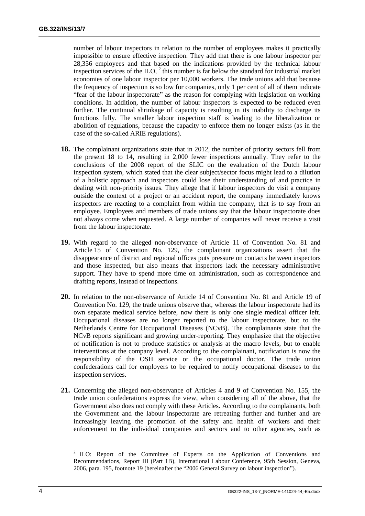number of labour inspectors in relation to the number of employees makes it practically impossible to ensure effective inspection. They add that there is one labour inspector per 28,356 employees and that based on the indications provided by the technical labour inspection services of the ILO,  $2$  this number is far below the standard for industrial market economies of one labour inspector per 10,000 workers. The trade unions add that because the frequency of inspection is so low for companies, only 1 per cent of all of them indicate "fear of the labour inspectorate" as the reason for complying with legislation on working conditions. In addition, the number of labour inspectors is expected to be reduced even further. The continual shrinkage of capacity is resulting in its inability to discharge its functions fully. The smaller labour inspection staff is leading to the liberalization or abolition of regulations, because the capacity to enforce them no longer exists (as in the case of the so-called ARIE regulations).

- **18.** The complainant organizations state that in 2012, the number of priority sectors fell from the present 18 to 14, resulting in 2,000 fewer inspections annually. They refer to the conclusions of the 2008 report of the SLIC on the evaluation of the Dutch labour inspection system, which stated that the clear subject/sector focus might lead to a dilution of a holistic approach and inspectors could lose their understanding of and practice in dealing with non-priority issues. They allege that if labour inspectors do visit a company outside the context of a project or an accident report, the company immediately knows inspectors are reacting to a complaint from within the company, that is to say from an employee. Employees and members of trade unions say that the labour inspectorate does not always come when requested. A large number of companies will never receive a visit from the labour inspectorate.
- **19.** With regard to the alleged non-observance of Article 11 of Convention No. 81 and Article 15 of Convention No. 129, the complainant organizations assert that the disappearance of district and regional offices puts pressure on contacts between inspectors and those inspected, but also means that inspectors lack the necessary administrative support. They have to spend more time on administration, such as correspondence and drafting reports, instead of inspections.
- **20.** In relation to the non-observance of Article 14 of Convention No. 81 and Article 19 of Convention No. 129, the trade unions observe that, whereas the labour inspectorate had its own separate medical service before, now there is only one single medical officer left. Occupational diseases are no longer reported to the labour inspectorate, but to the Netherlands Centre for Occupational Diseases (NCvB). The complainants state that the NCvB reports significant and growing under-reporting. They emphasize that the objective of notification is not to produce statistics or analysis at the macro levels, but to enable interventions at the company level. According to the complainant, notification is now the responsibility of the OSH service or the occupational doctor. The trade union confederations call for employers to be required to notify occupational diseases to the inspection services.
- **21.** Concerning the alleged non-observance of Articles 4 and 9 of Convention No. 155, the trade union confederations express the view, when considering all of the above, that the Government also does not comply with these Articles. According to the complainants, both the Government and the labour inspectorate are retreating further and further and are increasingly leaving the promotion of the safety and health of workers and their enforcement to the individual companies and sectors and to other agencies, such as

 $2$  ILO: Report of the Committee of Experts on the Application of Conventions and Recommendations, Report III (Part 1B), International Labour Conference, 95th Session, Geneva, 2006, para. 195, footnote 19 (hereinafter the "2006 General Survey on labour inspection").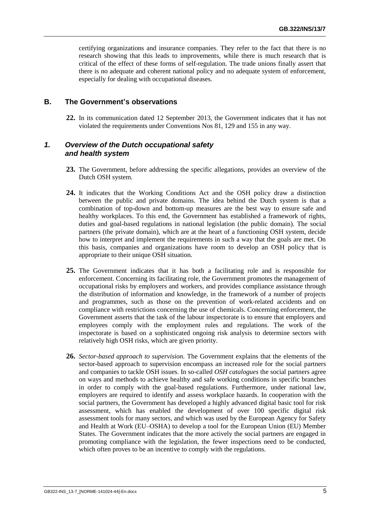certifying organizations and insurance companies. They refer to the fact that there is no research showing that this leads to improvements, while there is much research that is critical of the effect of these forms of self-regulation. The trade unions finally assert that there is no adequate and coherent national policy and no adequate system of enforcement, especially for dealing with occupational diseases.

#### <span id="page-8-0"></span>**B. The Government's observations**

**22.** In its communication dated 12 September 2013, the Government indicates that it has not violated the requirements under Conventions Nos 81, 129 and 155 in any way.

#### <span id="page-8-1"></span>*1. Overview of the Dutch occupational safety and health system*

- **23.** The Government, before addressing the specific allegations, provides an overview of the Dutch OSH system.
- **24.** It indicates that the Working Conditions Act and the OSH policy draw a distinction between the public and private domains. The idea behind the Dutch system is that a combination of top-down and bottom-up measures are the best way to ensure safe and healthy workplaces. To this end, the Government has established a framework of rights, duties and goal-based regulations in national legislation (the public domain). The social partners (the private domain), which are at the heart of a functioning OSH system, decide how to interpret and implement the requirements in such a way that the goals are met. On this basis, companies and organizations have room to develop an OSH policy that is appropriate to their unique OSH situation.
- **25.** The Government indicates that it has both a facilitating role and is responsible for enforcement. Concerning its facilitating role, the Government promotes the management of occupational risks by employers and workers, and provides compliance assistance through the distribution of information and knowledge, in the framework of a number of projects and programmes, such as those on the prevention of work-related accidents and on compliance with restrictions concerning the use of chemicals. Concerning enforcement, the Government asserts that the task of the labour inspectorate is to ensure that employers and employees comply with the employment rules and regulations. The work of the inspectorate is based on a sophisticated ongoing risk analysis to determine sectors with relatively high OSH risks, which are given priority.
- **26.** *Sector-based approach to supervision.* The Government explains that the elements of the sector-based approach to supervision encompass an increased role for the social partners and companies to tackle OSH issues. In so-called *OSH catalogues* the social partners agree on ways and methods to achieve healthy and safe working conditions in specific branches in order to comply with the goal-based regulations. Furthermore, under national law, employers are required to identify and assess workplace hazards. In cooperation with the social partners, the Government has developed a highly advanced digital basic tool for risk assessment, which has enabled the development of over 100 specific digital risk assessment tools for many sectors, and which was used by the European Agency for Safety and Health at Work (EU–OSHA) to develop a tool for the European Union (EU) Member States. The Government indicates that the more actively the social partners are engaged in promoting compliance with the legislation, the fewer inspections need to be conducted, which often proves to be an incentive to comply with the regulations.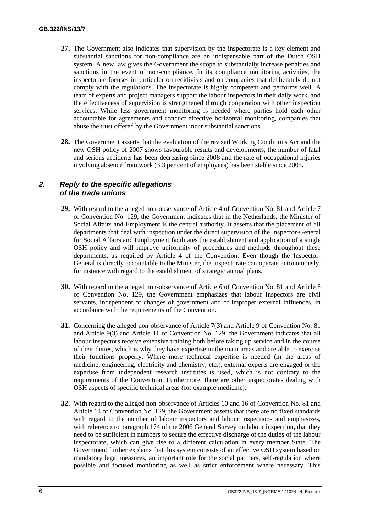- **27.** The Government also indicates that supervision by the inspectorate is a key element and substantial sanctions for non-compliance are an indispensable part of the Dutch OSH system. A new law gives the Government the scope to substantially increase penalties and sanctions in the event of non-compliance. In its compliance monitoring activities, the inspectorate focuses in particular on recidivists and on companies that deliberately do not comply with the regulations. The inspectorate is highly competent and performs well. A team of experts and project managers support the labour inspectors in their daily work, and the effectiveness of supervision is strengthened through cooperation with other inspection services. While less government monitoring is needed where parties hold each other accountable for agreements and conduct effective horizontal monitoring, companies that abuse the trust offered by the Government incur substantial sanctions.
- **28.** The Government asserts that the evaluation of the revised Working Conditions Act and the new OSH policy of 2007 shows favourable results and developments; the number of fatal and serious accidents has been decreasing since 2008 and the rate of occupational injuries involving absence from work (3.3 per cent of employees) has been stable since 2005.

#### <span id="page-9-0"></span>*2. Reply to the specific allegations of the trade unions*

- **29.** With regard to the alleged non-observance of Article 4 of Convention No. 81 and Article 7 of Convention No. 129, the Government indicates that in the Netherlands, the Minister of Social Affairs and Employment is the central authority. It asserts that the placement of all departments that deal with inspection under the direct supervision of the Inspector-General for Social Affairs and Employment facilitates the establishment and application of a single OSH policy and will improve uniformity of procedures and methods throughout these departments, as required by Article 4 of the Convention. Even though the Inspector-General is directly accountable to the Minister, the inspectorate can operate autonomously, for instance with regard to the establishment of strategic annual plans.
- **30.** With regard to the alleged non-observance of Article 6 of Convention No. 81 and Article 8 of Convention No. 129, the Government emphasizes that labour inspectors are civil servants, independent of changes of government and of improper external influences, in accordance with the requirements of the Convention.
- **31.** Concerning the alleged non-observance of Article 7(3) and Article 9 of Convention No. 81 and Article 9(3) and Article 11 of Convention No. 129, the Government indicates that all labour inspectors receive extensive training both before taking up service and in the course of their duties, which is why they have expertise in the main areas and are able to exercise their functions properly. Where more technical expertise is needed (in the areas of medicine, engineering, electricity and chemistry, etc.), external experts are engaged or the expertise from independent research institutes is used, which is not contrary to the requirements of the Convention. Furthermore, there are other inspectorates dealing with OSH aspects of specific technical areas (for example medicine).
- **32.** With regard to the alleged non-observance of Articles 10 and 16 of Convention No. 81 and Article 14 of Convention No. 129, the Government asserts that there are no fixed standards with regard to the number of labour inspectors and labour inspections and emphasizes, with reference to paragraph 174 of the 2006 General Survey on labour inspection, that they need to be sufficient in numbers to secure the effective discharge of the duties of the labour inspectorate, which can give rise to a different calculation in every member State. The Government further explains that this system consists of an effective OSH system based on mandatory legal measures, an important role for the social partners, self-regulation where possible and focused monitoring as well as strict enforcement where necessary. This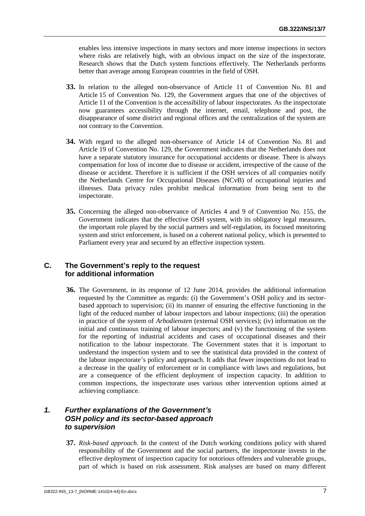enables less intensive inspections in many sectors and more intense inspections in sectors where risks are relatively high, with an obvious impact on the size of the inspectorate. Research shows that the Dutch system functions effectively. The Netherlands performs better than average among European countries in the field of OSH.

- **33.** In relation to the alleged non-observance of Article 11 of Convention No. 81 and Article 15 of Convention No. 129, the Government argues that one of the objectives of Article 11 of the Convention is the accessibility of labour inspectorates. As the inspectorate now guarantees accessibility through the internet, email, telephone and post, the disappearance of some district and regional offices and the centralization of the system are not contrary to the Convention.
- **34.** With regard to the alleged non-observance of Article 14 of Convention No. 81 and Article 19 of Convention No. 129, the Government indicates that the Netherlands does not have a separate statutory insurance for occupational accidents or disease. There is always compensation for loss of income due to disease or accident, irrespective of the cause of the disease or accident. Therefore it is sufficient if the OSH services of all companies notify the Netherlands Centre for Occupational Diseases (NCvB) of occupational injuries and illnesses. Data privacy rules prohibit medical information from being sent to the inspectorate.
- **35.** Concerning the alleged non-observance of Articles 4 and 9 of Convention No. 155, the Government indicates that the effective OSH system, with its obligatory legal measures, the important role played by the social partners and self-regulation, its focused monitoring system and strict enforcement, is based on a coherent national policy, which is presented to Parliament every year and secured by an effective inspection system.

# <span id="page-10-0"></span>**C. The Government's reply to the request for additional information**

**36.** The Government, in its response of 12 June 2014, provides the additional information requested by the Committee as regards: (i) the Government's OSH policy and its sectorbased approach to supervision; (ii) its manner of ensuring the effective functioning in the light of the reduced number of labour inspectors and labour inspections; (iii) the operation in practice of the system of *Arbodiensten* (external OSH services); (iv) information on the initial and continuous training of labour inspectors; and  $(v)$  the functioning of the system for the reporting of industrial accidents and cases of occupational diseases and their notification to the labour inspectorate. The Government states that it is important to understand the inspection system and to see the statistical data provided in the context of the labour inspectorate's policy and approach. It adds that fewer inspections do not lead to a decrease in the quality of enforcement or in compliance with laws and regulations, but are a consequence of the efficient deployment of inspection capacity. In addition to common inspections, the inspectorate uses various other intervention options aimed at achieving compliance.

# <span id="page-10-1"></span>*1. Further explanations of the Government's OSH policy and its sector-based approach to supervision*

**37.** *Risk-based approach.* In the context of the Dutch working conditions policy with shared responsibility of the Government and the social partners, the inspectorate invests in the effective deployment of inspection capacity for notorious offenders and vulnerable groups, part of which is based on risk assessment. Risk analyses are based on many different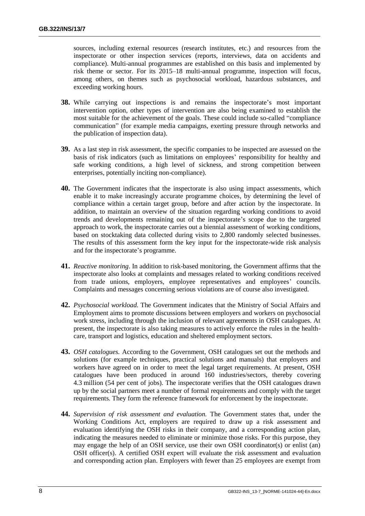sources, including external resources (research institutes, etc.) and resources from the inspectorate or other inspection services (reports, interviews, data on accidents and compliance). Multi-annual programmes are established on this basis and implemented by risk theme or sector. For its 2015–18 multi-annual programme, inspection will focus, among others, on themes such as psychosocial workload, hazardous substances, and exceeding working hours.

- **38.** While carrying out inspections is and remains the inspectorate's most important intervention option, other types of intervention are also being examined to establish the most suitable for the achievement of the goals. These could include so-called "compliance communication" (for example media campaigns, exerting pressure through networks and the publication of inspection data).
- **39.** As a last step in risk assessment, the specific companies to be inspected are assessed on the basis of risk indicators (such as limitations on employees' responsibility for healthy and safe working conditions, a high level of sickness, and strong competition between enterprises, potentially inciting non-compliance).
- **40.** The Government indicates that the inspectorate is also using impact assessments, which enable it to make increasingly accurate programme choices, by determining the level of compliance within a certain target group, before and after action by the inspectorate. In addition, to maintain an overview of the situation regarding working conditions to avoid trends and developments remaining out of the inspectorate's scope due to the targeted approach to work, the inspectorate carries out a biennial assessment of working conditions, based on stocktaking data collected during visits to 2,800 randomly selected businesses. The results of this assessment form the key input for the inspectorate-wide risk analysis and for the inspectorate's programme.
- **41.** *Reactive monitoring*. In addition to risk-based monitoring, the Government affirms that the inspectorate also looks at complaints and messages related to working conditions received from trade unions, employers, employee representatives and employees' councils. Complaints and messages concerning serious violations are of course also investigated.
- **42.** *Psychosocial workload.* The Government indicates that the Ministry of Social Affairs and Employment aims to promote discussions between employers and workers on psychosocial work stress, including through the inclusion of relevant agreements in OSH catalogues. At present, the inspectorate is also taking measures to actively enforce the rules in the healthcare, transport and logistics, education and sheltered employment sectors.
- **43.** *OSH catalogues.* According to the Government, OSH catalogues set out the methods and solutions (for example techniques, practical solutions and manuals) that employers and workers have agreed on in order to meet the legal target requirements. At present, OSH catalogues have been produced in around 160 industries/sectors, thereby covering 4.3 million (54 per cent of jobs). The inspectorate verifies that the OSH catalogues drawn up by the social partners meet a number of formal requirements and comply with the target requirements. They form the reference framework for enforcement by the inspectorate.
- **44.** *Supervision of risk assessment and evaluation.* The Government states that, under the Working Conditions Act, employers are required to draw up a risk assessment and evaluation identifying the OSH risks in their company, and a corresponding action plan, indicating the measures needed to eliminate or minimize those risks. For this purpose, they may engage the help of an OSH service, use their own OSH coordinator(s) or enlist (an) OSH officer(s). A certified OSH expert will evaluate the risk assessment and evaluation and corresponding action plan. Employers with fewer than 25 employees are exempt from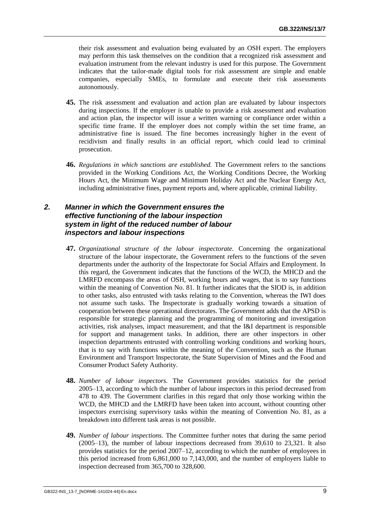their risk assessment and evaluation being evaluated by an OSH expert. The employers may perform this task themselves on the condition that a recognized risk assessment and evaluation instrument from the relevant industry is used for this purpose. The Government indicates that the tailor-made digital tools for risk assessment are simple and enable companies, especially SMEs, to formulate and execute their risk assessments autonomously.

- **45.** The risk assessment and evaluation and action plan are evaluated by labour inspectors during inspections. If the employer is unable to provide a risk assessment and evaluation and action plan, the inspector will issue a written warning or compliance order within a specific time frame. If the employer does not comply within the set time frame, an administrative fine is issued. The fine becomes increasingly higher in the event of recidivism and finally results in an official report, which could lead to criminal prosecution.
- **46.** *Regulations in which sanctions are established.* The Government refers to the sanctions provided in the Working Conditions Act, the Working Conditions Decree, the Working Hours Act, the Minimum Wage and Minimum Holiday Act and the Nuclear Energy Act, including administrative fines, payment reports and, where applicable, criminal liability.

# <span id="page-12-0"></span>*2. Manner in which the Government ensures the effective functioning of the labour inspection system in light of the reduced number of labour inspectors and labour inspections*

- **47.** *Organizational structure of the labour inspectorate.* Concerning the organizational structure of the labour inspectorate, the Government refers to the functions of the seven departments under the authority of the Inspectorate for Social Affairs and Employment. In this regard, the Government indicates that the functions of the WCD, the MHCD and the LMRFD encompass the areas of OSH, working hours and wages, that is to say functions within the meaning of Convention No. 81. It further indicates that the SIOD is, in addition to other tasks, also entrusted with tasks relating to the Convention, whereas the IWI does not assume such tasks. The Inspectorate is gradually working towards a situation of cooperation between these operational directorates. The Government adds that the APSD is responsible for strategic planning and the programming of monitoring and investigation activities, risk analyses, impact measurement, and that the I&I department is responsible for support and management tasks. In addition, there are other inspectors in other inspection departments entrusted with controlling working conditions and working hours, that is to say with functions within the meaning of the Convention, such as the Human Environment and Transport Inspectorate, the State Supervision of Mines and the Food and Consumer Product Safety Authority.
- **48.** *Number of labour inspectors.* The Government provides statistics for the period 2005–13, according to which the number of labour inspectors in this period decreased from 478 to 439. The Government clarifies in this regard that only those working within the WCD, the MHCD and the LMRFD have been taken into account, without counting other inspectors exercising supervisory tasks within the meaning of Convention No. 81, as a breakdown into different task areas is not possible.
- **49.** *Number of labour inspections.* The Committee further notes that during the same period (2005–13), the number of labour inspections decreased from 39,610 to 23,321. It also provides statistics for the period 2007–12, according to which the number of employees in this period increased from 6,861,000 to 7,143,000, and the number of employers liable to inspection decreased from 365,700 to 328,600.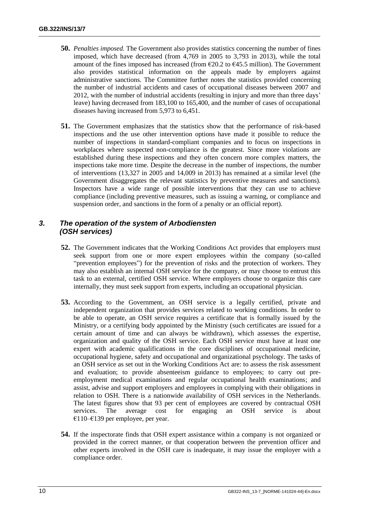- **50.** *Penalties imposed.* The Government also provides statistics concerning the number of fines imposed, which have decreased (from 4,769 in 2005 to 3,793 in 2013), while the total amount of the fines imposed has increased (from  $\epsilon$ 20.2 to  $\epsilon$ 45.5 million). The Government also provides statistical information on the appeals made by employers against administrative sanctions. The Committee further notes the statistics provided concerning the number of industrial accidents and cases of occupational diseases between 2007 and 2012, with the number of industrial accidents (resulting in injury and more than three days' leave) having decreased from 183,100 to 165,400, and the number of cases of occupational diseases having increased from 5,973 to 6,451.
- **51.** The Government emphasizes that the statistics show that the performance of risk-based inspections and the use other intervention options have made it possible to reduce the number of inspections in standard-compliant companies and to focus on inspections in workplaces where suspected non-compliance is the greatest. Since more violations are established during these inspections and they often concern more complex matters, the inspections take more time. Despite the decrease in the number of inspections, the number of interventions (13,327 in 2005 and 14,009 in 2013) has remained at a similar level (the Government disaggregates the relevant statistics by preventive measures and sanctions). Inspectors have a wide range of possible interventions that they can use to achieve compliance (including preventive measures, such as issuing a warning, or compliance and suspension order, and sanctions in the form of a penalty or an official report).

# <span id="page-13-0"></span>*3. The operation of the system of Arbodiensten (OSH services)*

- **52.** The Government indicates that the Working Conditions Act provides that employers must seek support from one or more expert employees within the company (so-called "prevention employees") for the prevention of risks and the protection of workers. They may also establish an internal OSH service for the company, or may choose to entrust this task to an external, certified OSH service. Where employers choose to organize this care internally, they must seek support from experts, including an occupational physician.
- **53.** According to the Government, an OSH service is a legally certified, private and independent organization that provides services related to working conditions. In order to be able to operate, an OSH service requires a certificate that is formally issued by the Ministry, or a certifying body appointed by the Ministry (such certificates are issued for a certain amount of time and can always be withdrawn), which assesses the expertise, organization and quality of the OSH service. Each OSH service must have at least one expert with academic qualifications in the core disciplines of occupational medicine, occupational hygiene, safety and occupational and organizational psychology. The tasks of an OSH service as set out in the Working Conditions Act are: to assess the risk assessment and evaluation; to provide absenteeism guidance to employees; to carry out preemployment medical examinations and regular occupational health examinations; and assist, advise and support employers and employees in complying with their obligations in relation to OSH. There is a nationwide availability of OSH services in the Netherlands. The latest figures show that 93 per cent of employees are covered by contractual OSH services. The average cost for engaging an OSH service is about €110–€139 per employee, per year.
- **54.** If the inspectorate finds that OSH expert assistance within a company is not organized or provided in the correct manner, or that cooperation between the prevention officer and other experts involved in the OSH care is inadequate, it may issue the employer with a compliance order.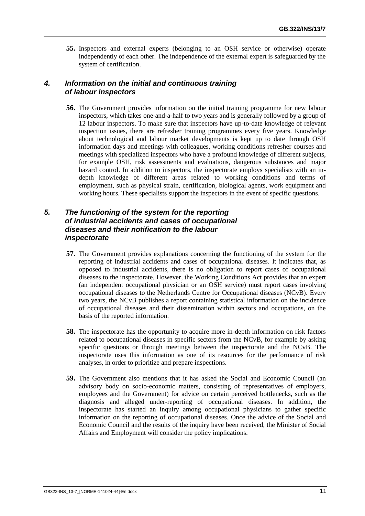**55.** Inspectors and external experts (belonging to an OSH service or otherwise) operate independently of each other. The independence of the external expert is safeguarded by the system of certification.

# <span id="page-14-0"></span>*4. Information on the initial and continuous training of labour inspectors*

**56.** The Government provides information on the initial training programme for new labour inspectors, which takes one-and-a-half to two years and is generally followed by a group of 12 labour inspectors. To make sure that inspectors have up-to-date knowledge of relevant inspection issues, there are refresher training programmes every five years. Knowledge about technological and labour market developments is kept up to date through OSH information days and meetings with colleagues, working conditions refresher courses and meetings with specialized inspectors who have a profound knowledge of different subjects, for example OSH, risk assessments and evaluations, dangerous substances and major hazard control. In addition to inspectors, the inspectorate employs specialists with an indepth knowledge of different areas related to working conditions and terms of employment, such as physical strain, certification, biological agents, work equipment and working hours. These specialists support the inspectors in the event of specific questions.

# <span id="page-14-1"></span>*5. The functioning of the system for the reporting of industrial accidents and cases of occupational diseases and their notification to the labour inspectorate*

- **57.** The Government provides explanations concerning the functioning of the system for the reporting of industrial accidents and cases of occupational diseases. It indicates that, as opposed to industrial accidents, there is no obligation to report cases of occupational diseases to the inspectorate. However, the Working Conditions Act provides that an expert (an independent occupational physician or an OSH service) must report cases involving occupational diseases to the Netherlands Centre for Occupational diseases (NCvB). Every two years, the NCvB publishes a report containing statistical information on the incidence of occupational diseases and their dissemination within sectors and occupations, on the basis of the reported information.
- **58.** The inspectorate has the opportunity to acquire more in-depth information on risk factors related to occupational diseases in specific sectors from the NCvB, for example by asking specific questions or through meetings between the inspectorate and the NCvB. The inspectorate uses this information as one of its resources for the performance of risk analyses, in order to prioritize and prepare inspections.
- **59.** The Government also mentions that it has asked the Social and Economic Council (an advisory body on socio-economic matters, consisting of representatives of employers, employees and the Government) for advice on certain perceived bottlenecks, such as the diagnosis and alleged under-reporting of occupational diseases. In addition, the inspectorate has started an inquiry among occupational physicians to gather specific information on the reporting of occupational diseases. Once the advice of the Social and Economic Council and the results of the inquiry have been received, the Minister of Social Affairs and Employment will consider the policy implications.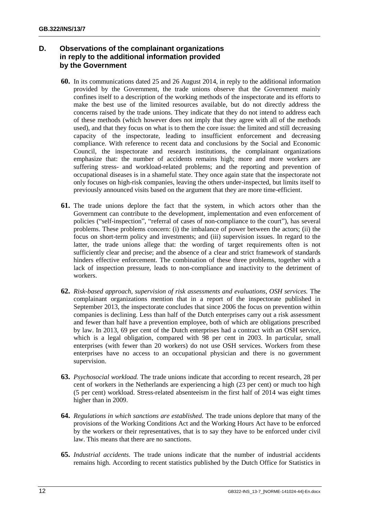# <span id="page-15-0"></span>**D. Observations of the complainant organizations in reply to the additional information provided by the Government**

- **60.** In its communications dated 25 and 26 August 2014, in reply to the additional information provided by the Government, the trade unions observe that the Government mainly confines itself to a description of the working methods of the inspectorate and its efforts to make the best use of the limited resources available, but do not directly address the concerns raised by the trade unions. They indicate that they do not intend to address each of these methods (which however does not imply that they agree with all of the methods used), and that they focus on what is to them the core issue: the limited and still decreasing capacity of the inspectorate, leading to insufficient enforcement and decreasing compliance. With reference to recent data and conclusions by the Social and Economic Council, the inspectorate and research institutions, the complainant organizations emphasize that: the number of accidents remains high; more and more workers are suffering stress- and workload-related problems; and the reporting and prevention of occupational diseases is in a shameful state. They once again state that the inspectorate not only focuses on high-risk companies, leaving the others under-inspected, but limits itself to previously announced visits based on the argument that they are more time-efficient.
- **61.** The trade unions deplore the fact that the system, in which actors other than the Government can contribute to the development, implementation and even enforcement of policies ("self-inspection", "referral of cases of non-compliance to the court"), has several problems. These problems concern: (i) the imbalance of power between the actors; (ii) the focus on short-term policy and investments; and (iii) supervision issues. In regard to the latter, the trade unions allege that: the wording of target requirements often is not sufficiently clear and precise; and the absence of a clear and strict framework of standards hinders effective enforcement. The combination of these three problems, together with a lack of inspection pressure, leads to non-compliance and inactivity to the detriment of workers.
- **62.** *Risk-based approach, supervision of risk assessments and evaluations, OSH services.* The complainant organizations mention that in a report of the inspectorate published in September 2013, the inspectorate concludes that since 2006 the focus on prevention within companies is declining. Less than half of the Dutch enterprises carry out a risk assessment and fewer than half have a prevention employee, both of which are obligations prescribed by law. In 2013, 69 per cent of the Dutch enterprises had a contract with an OSH service, which is a legal obligation, compared with 98 per cent in 2003. In particular, small enterprises (with fewer than 20 workers) do not use OSH services. Workers from these enterprises have no access to an occupational physician and there is no government supervision.
- **63.** *Psychosocial workload.* The trade unions indicate that according to recent research, 28 per cent of workers in the Netherlands are experiencing a high (23 per cent) or much too high (5 per cent) workload. Stress-related absenteeism in the first half of 2014 was eight times higher than in 2009.
- **64.** *Regulations in which sanctions are established.* The trade unions deplore that many of the provisions of the Working Conditions Act and the Working Hours Act have to be enforced by the workers or their representatives, that is to say they have to be enforced under civil law. This means that there are no sanctions.
- **65.** *Industrial accidents.* The trade unions indicate that the number of industrial accidents remains high. According to recent statistics published by the Dutch Office for Statistics in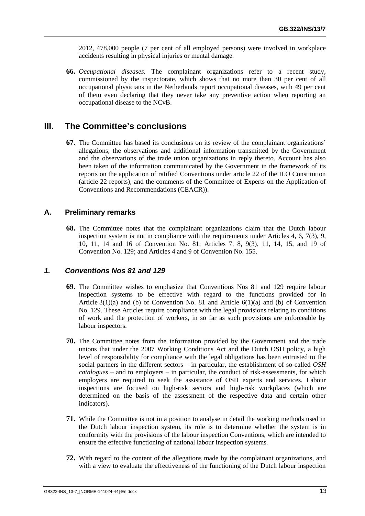2012, 478,000 people (7 per cent of all employed persons) were involved in workplace accidents resulting in physical injuries or mental damage.

**66.** *Occupational diseases.* The complainant organizations refer to a recent study, commissioned by the inspectorate, which shows that no more than 30 per cent of all occupational physicians in the Netherlands report occupational diseases, with 49 per cent of them even declaring that they never take any preventive action when reporting an occupational disease to the NCvB.

# <span id="page-16-0"></span>**III. The Committee's conclusions**

**67.** The Committee has based its conclusions on its review of the complainant organizations' allegations, the observations and additional information transmitted by the Government and the observations of the trade union organizations in reply thereto. Account has also been taken of the information communicated by the Government in the framework of its reports on the application of ratified Conventions under article 22 of the ILO Constitution (article 22 reports), and the comments of the Committee of Experts on the Application of Conventions and Recommendations (CEACR)).

# <span id="page-16-1"></span>**A. Preliminary remarks**

**68.** The Committee notes that the complainant organizations claim that the Dutch labour inspection system is not in compliance with the requirements under Articles 4, 6, 7(3), 9, 10, 11, 14 and 16 of Convention No. 81; Articles 7, 8, 9(3), 11, 14, 15, and 19 of Convention No. 129; and Articles 4 and 9 of Convention No. 155.

#### <span id="page-16-2"></span>*1. Conventions Nos 81 and 129*

- **69.** The Committee wishes to emphasize that Conventions Nos 81 and 129 require labour inspection systems to be effective with regard to the functions provided for in Article  $3(1)(a)$  and (b) of Convention No. 81 and Article  $6(1)(a)$  and (b) of Convention No. 129. These Articles require compliance with the legal provisions relating to conditions of work and the protection of workers, in so far as such provisions are enforceable by labour inspectors.
- **70.** The Committee notes from the information provided by the Government and the trade unions that under the 2007 Working Conditions Act and the Dutch OSH policy, a high level of responsibility for compliance with the legal obligations has been entrusted to the social partners in the different sectors – in particular, the establishment of so-called *OSH catalogues* – and to employers – in particular, the conduct of risk-assessments, for which employers are required to seek the assistance of OSH experts and services. Labour inspections are focused on high-risk sectors and high-risk workplaces (which are determined on the basis of the assessment of the respective data and certain other indicators).
- **71.** While the Committee is not in a position to analyse in detail the working methods used in the Dutch labour inspection system, its role is to determine whether the system is in conformity with the provisions of the labour inspection Conventions, which are intended to ensure the effective functioning of national labour inspection systems.
- **72.** With regard to the content of the allegations made by the complainant organizations, and with a view to evaluate the effectiveness of the functioning of the Dutch labour inspection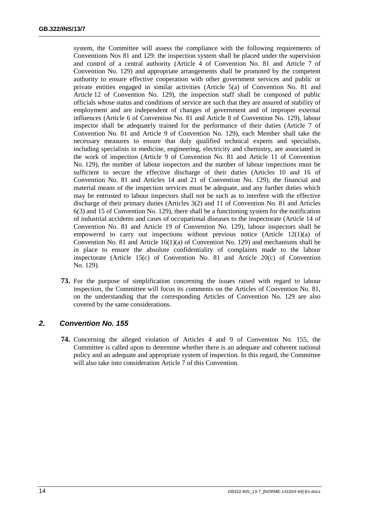system, the Committee will assess the compliance with the following requirements of Conventions Nos 81 and 129: the inspection system shall be placed under the supervision and control of a central authority (Article 4 of Convention No. 81 and Article 7 of Convention No. 129) and appropriate arrangements shall be promoted by the competent authority to ensure effective cooperation with other government services and public or private entities engaged in similar activities (Article 5(a) of Convention No. 81 and Article 12 of Convention No. 129), the inspection staff shall be composed of public officials whose status and conditions of service are such that they are assured of stability of employment and are independent of changes of government and of improper external influences (Article 6 of Convention No. 81 and Article 8 of Convention No. 129), labour inspector shall be adequately trained for the performance of their duties (Article 7 of Convention No. 81 and Article 9 of Convention No. 129), each Member shall take the necessary measures to ensure that duly qualified technical experts and specialists, including specialists in medicine, engineering, electricity and chemistry, are associated in the work of inspection (Article 9 of Convention No. 81 and Article 11 of Convention No. 129), the number of labour inspectors and the number of labour inspections must be sufficient to secure the effective discharge of their duties (Articles 10 and 16 of Convention No. 81 and Articles 14 and 21 of Convention No. 129), the financial and material means of the inspection services must be adequate, and any further duties which may be entrusted to labour inspectors shall not be such as to interfere with the effective discharge of their primary duties (Articles 3(2) and 11 of Convention No. 81 and Articles 6(3) and 15 of Convention No. 129), there shall be a functioning system for the notification of industrial accidents and cases of occupational diseases to the inspectorate (Article 14 of Convention No. 81 and Article 19 of Convention No. 129), labour inspectors shall be empowered to carry out inspections without previous notice (Article 12(1)(a) of Convention No. 81 and Article 16(1)(a) of Convention No. 129) and mechanisms shall be in place to ensure the absolute confidentiality of complaints made to the labour inspectorate (Article 15(c) of Convention No. 81 and Article 20(c) of Convention No. 129).

**73.** For the purpose of simplification concerning the issues raised with regard to labour inspection, the Committee will focus its comments on the Articles of Convention No. 81, on the understanding that the corresponding Articles of Convention No. 129 are also covered by the same considerations.

# <span id="page-17-0"></span>*2. Convention No. 155*

**74.** Concerning the alleged violation of Articles 4 and 9 of Convention No. 155, the Committee is called upon to determine whether there is an adequate and coherent national policy and an adequate and appropriate system of inspection. In this regard, the Committee will also take into consideration Article 7 of this Convention.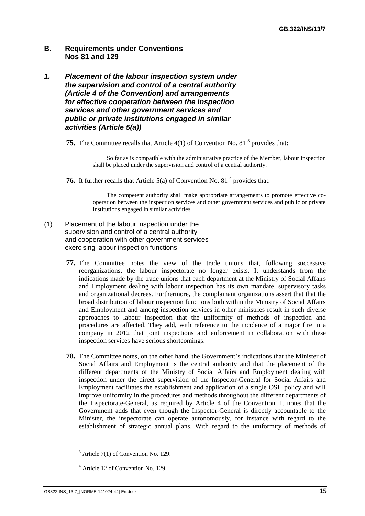# <span id="page-18-0"></span>**B. Requirements under Conventions Nos 81 and 129**

- <span id="page-18-1"></span>*1. Placement of the labour inspection system under the supervision and control of a central authority (Article 4 of the Convention) and arrangements for effective cooperation between the inspection services and other government services and public or private institutions engaged in similar activities (Article 5(a))*
	- **75.** The Committee recalls that Article 4(1) of Convention No. 81<sup>3</sup> provides that:

So far as is compatible with the administrative practice of the Member, labour inspection shall be placed under the supervision and control of a central authority.

**76.** It further recalls that Article  $5(a)$  of Convention No. 81<sup>4</sup> provides that:

The competent authority shall make appropriate arrangements to promote effective cooperation between the inspection services and other government services and public or private institutions engaged in similar activities.

- (1) Placement of the labour inspection under the supervision and control of a central authority and cooperation with other government services exercising labour inspection functions
	- **77.** The Committee notes the view of the trade unions that, following successive reorganizations, the labour inspectorate no longer exists. It understands from the indications made by the trade unions that each department at the Ministry of Social Affairs and Employment dealing with labour inspection has its own mandate, supervisory tasks and organizational decrees. Furthermore, the complainant organizations assert that that the broad distribution of labour inspection functions both within the Ministry of Social Affairs and Employment and among inspection services in other ministries result in such diverse approaches to labour inspection that the uniformity of methods of inspection and procedures are affected. They add, with reference to the incidence of a major fire in a company in 2012 that joint inspections and enforcement in collaboration with these inspection services have serious shortcomings.
	- **78.** The Committee notes, on the other hand, the Government's indications that the Minister of Social Affairs and Employment is the central authority and that the placement of the different departments of the Ministry of Social Affairs and Employment dealing with inspection under the direct supervision of the Inspector-General for Social Affairs and Employment facilitates the establishment and application of a single OSH policy and will improve uniformity in the procedures and methods throughout the different departments of the Inspectorate-General, as required by Article 4 of the Convention. It notes that the Government adds that even though the Inspector-General is directly accountable to the Minister, the inspectorate can operate autonomously, for instance with regard to the establishment of strategic annual plans. With regard to the uniformity of methods of

 $3$  Article 7(1) of Convention No. 129.

<sup>4</sup> Article 12 of Convention No. 129.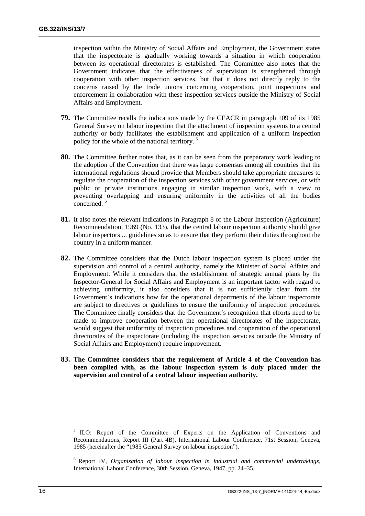inspection within the Ministry of Social Affairs and Employment, the Government states that the inspectorate is gradually working towards a situation in which cooperation between its operational directorates is established. The Committee also notes that the Government indicates that the effectiveness of supervision is strengthened through cooperation with other inspection services, but that it does not directly reply to the concerns raised by the trade unions concerning cooperation, joint inspections and enforcement in collaboration with these inspection services outside the Ministry of Social Affairs and Employment.

- **79.** The Committee recalls the indications made by the CEACR in paragraph 109 of its 1985 General Survey on labour inspection that the attachment of inspection systems to a central authority or body facilitates the establishment and application of a uniform inspection policy for the whole of the national territory. <sup>5</sup>
- **80.** The Committee further notes that, as it can be seen from the preparatory work leading to the adoption of the Convention that there was large consensus among all countries that the international regulations should provide that Members should take appropriate measures to regulate the cooperation of the inspection services with other government services, or with public or private institutions engaging in similar inspection work, with a view to preventing overlapping and ensuring uniformity in the activities of all the bodies concerned.
- **81.** It also notes the relevant indications in Paragraph 8 of the Labour Inspection (Agriculture) Recommendation, 1969 (No. 133), that the central labour inspection authority should give labour inspectors ... guidelines so as to ensure that they perform their duties throughout the country in a uniform manner.
- **82.** The Committee considers that the Dutch labour inspection system is placed under the supervision and control of a central authority, namely the Minister of Social Affairs and Employment. While it considers that the establishment of strategic annual plans by the Inspector-General for Social Affairs and Employment is an important factor with regard to achieving uniformity, it also considers that it is not sufficiently clear from the Government's indications how far the operational departments of the labour inspectorate are subject to directives or guidelines to ensure the uniformity of inspection procedures. The Committee finally considers that the Government's recognition that efforts need to be made to improve cooperation between the operational directorates of the inspectorate, would suggest that uniformity of inspection procedures and cooperation of the operational directorates of the inspectorate (including the inspection services outside the Ministry of Social Affairs and Employment) require improvement.
- **83. The Committee considers that the requirement of Article 4 of the Convention has been complied with, as the labour inspection system is duly placed under the supervision and control of a central labour inspection authority.**

<sup>6</sup> Report IV, *Organisation of labour inspection in industrial and commercial undertakings*, International Labour Conference, 30th Session, Geneva, 1947, pp. 24–35.

<sup>&</sup>lt;sup>5</sup> ILO: Report of the Committee of Experts on the Application of Conventions and Recommendations, Report III (Part 4B), International Labour Conference, 71st Session, Geneva, 1985 (hereinafter the "1985 General Survey on labour inspection").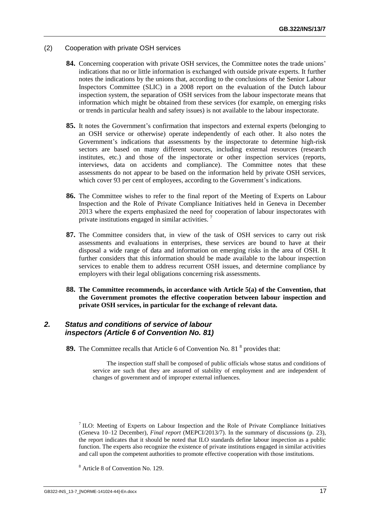- (2) Cooperation with private OSH services
	- **84.** Concerning cooperation with private OSH services, the Committee notes the trade unions' indications that no or little information is exchanged with outside private experts. It further notes the indications by the unions that, according to the conclusions of the Senior Labour Inspectors Committee (SLIC) in a 2008 report on the evaluation of the Dutch labour inspection system, the separation of OSH services from the labour inspectorate means that information which might be obtained from these services (for example, on emerging risks or trends in particular health and safety issues) is not available to the labour inspectorate.
	- **85.** It notes the Government's confirmation that inspectors and external experts (belonging to an OSH service or otherwise) operate independently of each other. It also notes the Government's indications that assessments by the inspectorate to determine high-risk sectors are based on many different sources, including external resources (research institutes, etc.) and those of the inspectorate or other inspection services (reports, interviews, data on accidents and compliance). The Committee notes that these assessments do not appear to be based on the information held by private OSH services, which cover 93 per cent of employees, according to the Government's indications.
	- **86.** The Committee wishes to refer to the final report of the Meeting of Experts on Labour Inspection and the Role of Private Compliance Initiatives held in Geneva in December 2013 where the experts emphasized the need for cooperation of labour inspectorates with private institutions engaged in similar activities. <sup>7</sup>
	- **87.** The Committee considers that, in view of the task of OSH services to carry out risk assessments and evaluations in enterprises, these services are bound to have at their disposal a wide range of data and information on emerging risks in the area of OSH. It further considers that this information should be made available to the labour inspection services to enable them to address recurrent OSH issues, and determine compliance by employers with their legal obligations concerning risk assessments.
	- **88. The Committee recommends, in accordance with Article 5(a) of the Convention, that the Government promotes the effective cooperation between labour inspection and private OSH services, in particular for the exchange of relevant data.**

# <span id="page-20-0"></span>*2. Status and conditions of service of labour inspectors (Article 6 of Convention No. 81)*

**89.** The Committee recalls that Article 6 of Convention No. 81<sup>8</sup> provides that:

The inspection staff shall be composed of public officials whose status and conditions of service are such that they are assured of stability of employment and are independent of changes of government and of improper external influences.

 $<sup>7</sup>$  ILO: Meeting of Experts on Labour Inspection and the Role of Private Compliance Initiatives</sup> (Geneva 10–12 December), *Final report* (MEPCI/2013/7). In the summary of discussions (p. 23), the report indicates that it should be noted that ILO standards define labour inspection as a public function. The experts also recognize the existence of private institutions engaged in similar activities and call upon the competent authorities to promote effective cooperation with those institutions.

<sup>8</sup> Article 8 of Convention No. 129.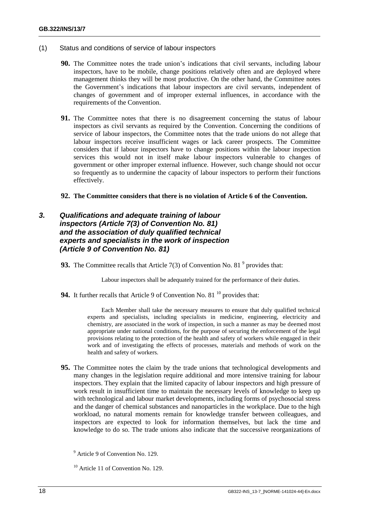- (1) Status and conditions of service of labour inspectors
	- **90.** The Committee notes the trade union's indications that civil servants, including labour inspectors, have to be mobile, change positions relatively often and are deployed where management thinks they will be most productive. On the other hand, the Committee notes the Government's indications that labour inspectors are civil servants, independent of changes of government and of improper external influences, in accordance with the requirements of the Convention.
	- **91.** The Committee notes that there is no disagreement concerning the status of labour inspectors as civil servants as required by the Convention. Concerning the conditions of service of labour inspectors, the Committee notes that the trade unions do not allege that labour inspectors receive insufficient wages or lack career prospects. The Committee considers that if labour inspectors have to change positions within the labour inspection services this would not in itself make labour inspectors vulnerable to changes of government or other improper external influence. However, such change should not occur so frequently as to undermine the capacity of labour inspectors to perform their functions effectively.
	- **92. The Committee considers that there is no violation of Article 6 of the Convention.**

# <span id="page-21-0"></span>*3. Qualifications and adequate training of labour inspectors (Article 7(3) of Convention No. 81) and the association of duly qualified technical experts and specialists in the work of inspection (Article 9 of Convention No. 81)*

**93.** The Committee recalls that Article  $7(3)$  of Convention No. 81<sup>9</sup> provides that:

Labour inspectors shall be adequately trained for the performance of their duties.

**94.** It further recalls that Article 9 of Convention No. 81<sup>10</sup> provides that:

Each Member shall take the necessary measures to ensure that duly qualified technical experts and specialists, including specialists in medicine, engineering, electricity and chemistry, are associated in the work of inspection, in such a manner as may be deemed most appropriate under national conditions, for the purpose of securing the enforcement of the legal provisions relating to the protection of the health and safety of workers while engaged in their work and of investigating the effects of processes, materials and methods of work on the health and safety of workers.

**95.** The Committee notes the claim by the trade unions that technological developments and many changes in the legislation require additional and more intensive training for labour inspectors. They explain that the limited capacity of labour inspectors and high pressure of work result in insufficient time to maintain the necessary levels of knowledge to keep up with technological and labour market developments, including forms of psychosocial stress and the danger of chemical substances and nanoparticles in the workplace. Due to the high workload, no natural moments remain for knowledge transfer between colleagues, and inspectors are expected to look for information themselves, but lack the time and knowledge to do so. The trade unions also indicate that the successive reorganizations of

<sup>9</sup> Article 9 of Convention No. 129.

<sup>&</sup>lt;sup>10</sup> Article 11 of Convention No. 129.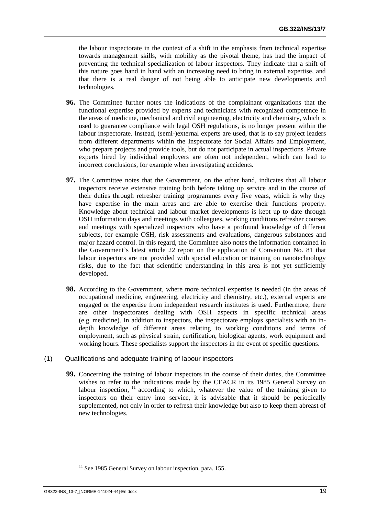the labour inspectorate in the context of a shift in the emphasis from technical expertise towards management skills, with mobility as the pivotal theme, has had the impact of preventing the technical specialization of labour inspectors. They indicate that a shift of this nature goes hand in hand with an increasing need to bring in external expertise, and that there is a real danger of not being able to anticipate new developments and technologies.

- **96.** The Committee further notes the indications of the complainant organizations that the functional expertise provided by experts and technicians with recognized competence in the areas of medicine, mechanical and civil engineering, electricity and chemistry, which is used to guarantee compliance with legal OSH regulations, is no longer present within the labour inspectorate. Instead, (semi-)external experts are used, that is to say project leaders from different departments within the Inspectorate for Social Affairs and Employment, who prepare projects and provide tools, but do not participate in actual inspections. Private experts hired by individual employers are often not independent, which can lead to incorrect conclusions, for example when investigating accidents.
- **97.** The Committee notes that the Government, on the other hand, indicates that all labour inspectors receive extensive training both before taking up service and in the course of their duties through refresher training programmes every five years, which is why they have expertise in the main areas and are able to exercise their functions properly. Knowledge about technical and labour market developments is kept up to date through OSH information days and meetings with colleagues, working conditions refresher courses and meetings with specialized inspectors who have a profound knowledge of different subjects, for example OSH, risk assessments and evaluations, dangerous substances and major hazard control. In this regard, the Committee also notes the information contained in the Government's latest article 22 report on the application of Convention No. 81 that labour inspectors are not provided with special education or training on nanotechnology risks, due to the fact that scientific understanding in this area is not yet sufficiently developed.
- **98.** According to the Government, where more technical expertise is needed (in the areas of occupational medicine, engineering, electricity and chemistry, etc.), external experts are engaged or the expertise from independent research institutes is used. Furthermore, there are other inspectorates dealing with OSH aspects in specific technical areas (e.g. medicine). In addition to inspectors, the inspectorate employs specialists with an indepth knowledge of different areas relating to working conditions and terms of employment, such as physical strain, certification, biological agents, work equipment and working hours. These specialists support the inspectors in the event of specific questions.
- (1) Qualifications and adequate training of labour inspectors
	- **99.** Concerning the training of labour inspectors in the course of their duties, the Committee wishes to refer to the indications made by the CEACR in its 1985 General Survey on labour inspection,  $\frac{11}{11}$  according to which, whatever the value of the training given to inspectors on their entry into service, it is advisable that it should be periodically supplemented, not only in order to refresh their knowledge but also to keep them abreast of new technologies.

 $11$  See 1985 General Survey on labour inspection, para. 155.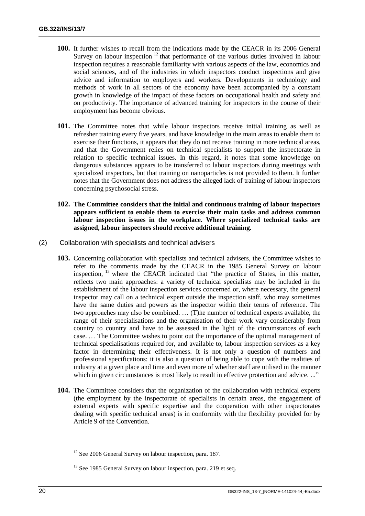- **100.** It further wishes to recall from the indications made by the CEACR in its 2006 General Survey on labour inspection  $12$  that performance of the various duties involved in labour inspection requires a reasonable familiarity with various aspects of the law, economics and social sciences, and of the industries in which inspectors conduct inspections and give advice and information to employers and workers. Developments in technology and methods of work in all sectors of the economy have been accompanied by a constant growth in knowledge of the impact of these factors on occupational health and safety and on productivity. The importance of advanced training for inspectors in the course of their employment has become obvious.
- **101.** The Committee notes that while labour inspectors receive initial training as well as refresher training every five years, and have knowledge in the main areas to enable them to exercise their functions, it appears that they do not receive training in more technical areas, and that the Government relies on technical specialists to support the inspectorate in relation to specific technical issues. In this regard, it notes that some knowledge on dangerous substances appears to be transferred to labour inspectors during meetings with specialized inspectors, but that training on nanoparticles is not provided to them. It further notes that the Government does not address the alleged lack of training of labour inspectors concerning psychosocial stress.
- **102. The Committee considers that the initial and continuous training of labour inspectors appears sufficient to enable them to exercise their main tasks and address common labour inspection issues in the workplace. Where specialized technical tasks are assigned, labour inspectors should receive additional training.**
- (2) Collaboration with specialists and technical advisers
	- **103.** Concerning collaboration with specialists and technical advisers, the Committee wishes to refer to the comments made by the CEACR in the 1985 General Survey on labour inspection, <sup>13</sup> where the CEACR indicated that "the practice of States, in this matter, reflects two main approaches: a variety of technical specialists may be included in the establishment of the labour inspection services concerned or, where necessary, the general inspector may call on a technical expert outside the inspection staff, who may sometimes have the same duties and powers as the inspector within their terms of reference. The two approaches may also be combined. … (T)he number of technical experts available, the range of their specialisations and the organisation of their work vary considerably from country to country and have to be assessed in the light of the circumstances of each case. … The Committee wishes to point out the importance of the optimal management of technical specialisations required for, and available to, labour inspection services as a key factor in determining their effectiveness. It is not only a question of numbers and professional specifications: it is also a question of being able to cope with the realities of industry at a given place and time and even more of whether staff are utilised in the manner which in given circumstances is most likely to result in effective protection and advice. ..."
	- **104.** The Committee considers that the organization of the collaboration with technical experts (the employment by the inspectorate of specialists in certain areas, the engagement of external experts with specific expertise and the cooperation with other inspectorates dealing with specific technical areas) is in conformity with the flexibility provided for by Article 9 of the Convention.

<sup>&</sup>lt;sup>12</sup> See 2006 General Survey on labour inspection, para. 187.

<sup>&</sup>lt;sup>13</sup> See 1985 General Survey on labour inspection, para. 219 et seq.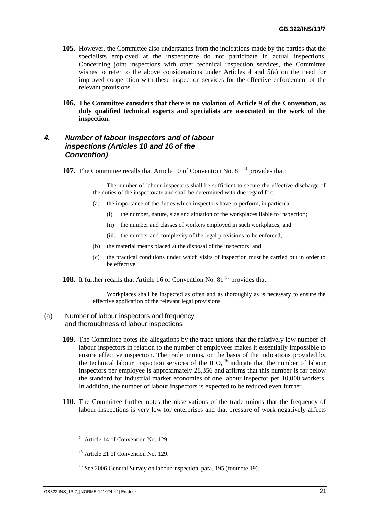- **105.** However, the Committee also understands from the indications made by the parties that the specialists employed at the inspectorate do not participate in actual inspections. Concerning joint inspections with other technical inspection services, the Committee wishes to refer to the above considerations under Articles  $4$  and  $5(a)$  on the need for improved cooperation with these inspection services for the effective enforcement of the relevant provisions.
- **106. The Committee considers that there is no violation of Article 9 of the Convention, as duly qualified technical experts and specialists are associated in the work of the inspection.**

# <span id="page-24-0"></span>*4. Number of labour inspectors and of labour inspections (Articles 10 and 16 of the Convention)*

**107.** The Committee recalls that Article 10 of Convention No. 81<sup>14</sup> provides that:

The number of labour inspectors shall be sufficient to secure the effective discharge of the duties of the inspectorate and shall be determined with due regard for:

- (a) the importance of the duties which inspectors have to perform, in particular
	- (i) the number, nature, size and situation of the workplaces liable to inspection;
	- (ii) the number and classes of workers employed in such workplaces; and
	- (iii) the number and complexity of the legal provisions to be enforced;
- (b) the material means placed at the disposal of the inspectors; and
- (c) the practical conditions under which visits of inspection must be carried out in order to be effective.

**108.** It further recalls that Article 16 of Convention No. 81<sup>15</sup> provides that:

Workplaces shall be inspected as often and as thoroughly as is necessary to ensure the effective application of the relevant legal provisions.

#### (a) Number of labour inspectors and frequency and thoroughness of labour inspections

- **109.** The Committee notes the allegations by the trade unions that the relatively low number of labour inspectors in relation to the number of employees makes it essentially impossible to ensure effective inspection. The trade unions, on the basis of the indications provided by the technical labour inspection services of the  $\text{ILO}$ , <sup>16</sup> indicate that the number of labour inspectors per employee is approximately 28,356 and affirms that this number is far below the standard for industrial market economies of one labour inspector per 10,000 workers. In addition, the number of labour inspectors is expected to be reduced even further.
- **110.** The Committee further notes the observations of the trade unions that the frequency of labour inspections is very low for enterprises and that pressure of work negatively affects

 $14$  Article 14 of Convention No. 129.

<sup>15</sup> Article 21 of Convention No. 129.

<sup>&</sup>lt;sup>16</sup> See 2006 General Survey on labour inspection, para. 195 (footnote 19).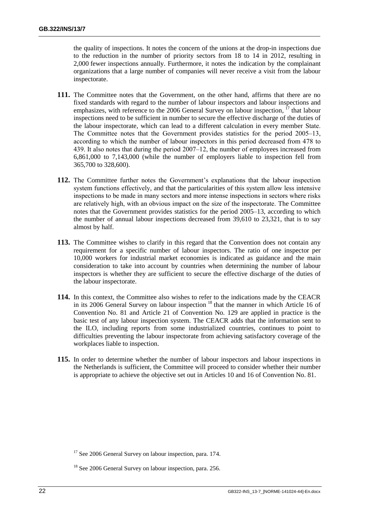the quality of inspections. It notes the concern of the unions at the drop-in inspections due to the reduction in the number of priority sectors from 18 to 14 in 2012, resulting in 2,000 fewer inspections annually. Furthermore, it notes the indication by the complainant organizations that a large number of companies will never receive a visit from the labour inspectorate.

- **111.** The Committee notes that the Government, on the other hand, affirms that there are no fixed standards with regard to the number of labour inspectors and labour inspections and emphasizes, with reference to the 2006 General Survey on labour inspection, <sup>17</sup> that labour inspections need to be sufficient in number to secure the effective discharge of the duties of the labour inspectorate, which can lead to a different calculation in every member State. The Committee notes that the Government provides statistics for the period 2005–13, according to which the number of labour inspectors in this period decreased from 478 to 439. It also notes that during the period 2007–12, the number of employees increased from 6,861,000 to 7,143,000 (while the number of employers liable to inspection fell from 365,700 to 328,600).
- **112.** The Committee further notes the Government's explanations that the labour inspection system functions effectively, and that the particularities of this system allow less intensive inspections to be made in many sectors and more intense inspections in sectors where risks are relatively high, with an obvious impact on the size of the inspectorate. The Committee notes that the Government provides statistics for the period 2005–13, according to which the number of annual labour inspections decreased from 39,610 to 23,321, that is to say almost by half.
- **113.** The Committee wishes to clarify in this regard that the Convention does not contain any requirement for a specific number of labour inspectors. The ratio of one inspector per 10,000 workers for industrial market economies is indicated as guidance and the main consideration to take into account by countries when determining the number of labour inspectors is whether they are sufficient to secure the effective discharge of the duties of the labour inspectorate.
- **114.** In this context, the Committee also wishes to refer to the indications made by the CEACR in its 2006 General Survey on labour inspection <sup>18</sup> that the manner in which Article 16 of Convention No. 81 and Article 21 of Convention No. 129 are applied in practice is the basic test of any labour inspection system. The CEACR adds that the information sent to the ILO, including reports from some industrialized countries, continues to point to difficulties preventing the labour inspectorate from achieving satisfactory coverage of the workplaces liable to inspection.
- **115.** In order to determine whether the number of labour inspectors and labour inspections in the Netherlands is sufficient, the Committee will proceed to consider whether their number is appropriate to achieve the objective set out in Articles 10 and 16 of Convention No. 81.

<sup>&</sup>lt;sup>17</sup> See 2006 General Survey on labour inspection, para. 174.

<sup>&</sup>lt;sup>18</sup> See 2006 General Survey on labour inspection, para. 256.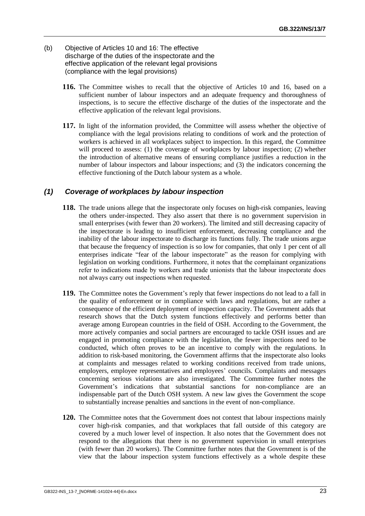- (b) Objective of Articles 10 and 16: The effective discharge of the duties of the inspectorate and the effective application of the relevant legal provisions (compliance with the legal provisions)
	- **116.** The Committee wishes to recall that the objective of Articles 10 and 16, based on a sufficient number of labour inspectors and an adequate frequency and thoroughness of inspections, is to secure the effective discharge of the duties of the inspectorate and the effective application of the relevant legal provisions.
	- **117.** In light of the information provided, the Committee will assess whether the objective of compliance with the legal provisions relating to conditions of work and the protection of workers is achieved in all workplaces subject to inspection. In this regard, the Committee will proceed to assess: (1) the coverage of workplaces by labour inspection; (2) whether the introduction of alternative means of ensuring compliance justifies a reduction in the number of labour inspectors and labour inspections; and (3) the indicators concerning the effective functioning of the Dutch labour system as a whole.

# *(1) Coverage of workplaces by labour inspection*

- **118.** The trade unions allege that the inspectorate only focuses on high-risk companies, leaving the others under-inspected. They also assert that there is no government supervision in small enterprises (with fewer than 20 workers). The limited and still decreasing capacity of the inspectorate is leading to insufficient enforcement, decreasing compliance and the inability of the labour inspectorate to discharge its functions fully. The trade unions argue that because the frequency of inspection is so low for companies, that only 1 per cent of all enterprises indicate "fear of the labour inspectorate" as the reason for complying with legislation on working conditions. Furthermore, it notes that the complainant organizations refer to indications made by workers and trade unionists that the labour inspectorate does not always carry out inspections when requested.
- **119.** The Committee notes the Government's reply that fewer inspections do not lead to a fall in the quality of enforcement or in compliance with laws and regulations, but are rather a consequence of the efficient deployment of inspection capacity. The Government adds that research shows that the Dutch system functions effectively and performs better than average among European countries in the field of OSH. According to the Government, the more actively companies and social partners are encouraged to tackle OSH issues and are engaged in promoting compliance with the legislation, the fewer inspections need to be conducted, which often proves to be an incentive to comply with the regulations. In addition to risk-based monitoring, the Government affirms that the inspectorate also looks at complaints and messages related to working conditions received from trade unions, employers, employee representatives and employees' councils. Complaints and messages concerning serious violations are also investigated. The Committee further notes the Government's indications that substantial sanctions for non-compliance are an indispensable part of the Dutch OSH system. A new law gives the Government the scope to substantially increase penalties and sanctions in the event of non-compliance.
- **120.** The Committee notes that the Government does not contest that labour inspections mainly cover high-risk companies, and that workplaces that fall outside of this category are covered by a much lower level of inspection. It also notes that the Government does not respond to the allegations that there is no government supervision in small enterprises (with fewer than 20 workers). The Committee further notes that the Government is of the view that the labour inspection system functions effectively as a whole despite these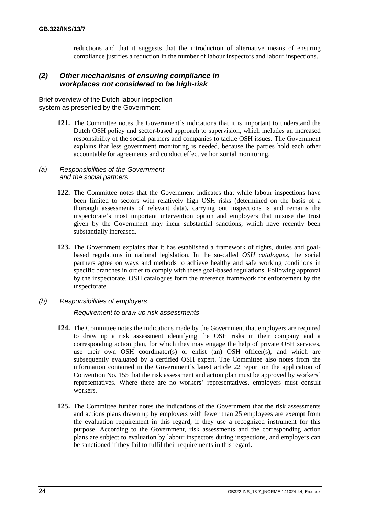reductions and that it suggests that the introduction of alternative means of ensuring compliance justifies a reduction in the number of labour inspectors and labour inspections.

#### *(2) Other mechanisms of ensuring compliance in workplaces not considered to be high-risk*

Brief overview of the Dutch labour inspection system as presented by the Government

> **121.** The Committee notes the Government's indications that it is important to understand the Dutch OSH policy and sector-based approach to supervision, which includes an increased responsibility of the social partners and companies to tackle OSH issues. The Government explains that less government monitoring is needed, because the parties hold each other accountable for agreements and conduct effective horizontal monitoring.

#### *(a) Responsibilities of the Government and the social partners*

- **122.** The Committee notes that the Government indicates that while labour inspections have been limited to sectors with relatively high OSH risks (determined on the basis of a thorough assessments of relevant data), carrying out inspections is and remains the inspectorate's most important intervention option and employers that misuse the trust given by the Government may incur substantial sanctions, which have recently been substantially increased.
- **123.** The Government explains that it has established a framework of rights, duties and goalbased regulations in national legislation. In the so-called *OSH catalogues*, the social partners agree on ways and methods to achieve healthy and safe working conditions in specific branches in order to comply with these goal-based regulations. Following approval by the inspectorate, OSH catalogues form the reference framework for enforcement by the inspectorate.
- *(b) Responsibilities of employers*
	- *– Requirement to draw up risk assessments*
	- **124.** The Committee notes the indications made by the Government that employers are required to draw up a risk assessment identifying the OSH risks in their company and a corresponding action plan, for which they may engage the help of private OSH services, use their own OSH coordinator(s) or enlist (an) OSH officer(s), and which are subsequently evaluated by a certified OSH expert. The Committee also notes from the information contained in the Government's latest article 22 report on the application of Convention No. 155 that the risk assessment and action plan must be approved by workers' representatives. Where there are no workers' representatives, employers must consult workers.
	- **125.** The Committee further notes the indications of the Government that the risk assessments and actions plans drawn up by employers with fewer than 25 employees are exempt from the evaluation requirement in this regard, if they use a recognized instrument for this purpose. According to the Government, risk assessments and the corresponding action plans are subject to evaluation by labour inspectors during inspections, and employers can be sanctioned if they fail to fulfil their requirements in this regard.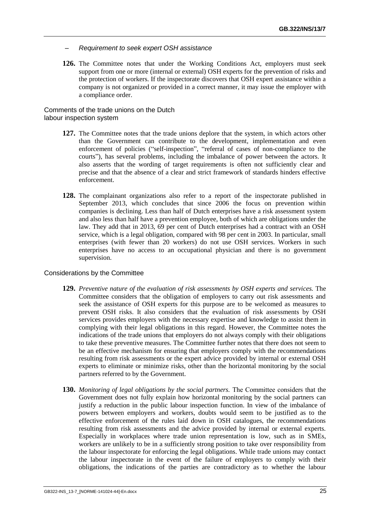- *– Requirement to seek expert OSH assistance*
- **126.** The Committee notes that under the Working Conditions Act, employers must seek support from one or more (internal or external) OSH experts for the prevention of risks and the protection of workers. If the inspectorate discovers that OSH expert assistance within a company is not organized or provided in a correct manner, it may issue the employer with a compliance order.

Comments of the trade unions on the Dutch labour inspection system

- **127.** The Committee notes that the trade unions deplore that the system, in which actors other than the Government can contribute to the development, implementation and even enforcement of policies ("self-inspection", "referral of cases of non-compliance to the courts"), has several problems, including the imbalance of power between the actors. It also asserts that the wording of target requirements is often not sufficiently clear and precise and that the absence of a clear and strict framework of standards hinders effective enforcement.
- **128.** The complainant organizations also refer to a report of the inspectorate published in September 2013, which concludes that since 2006 the focus on prevention within companies is declining. Less than half of Dutch enterprises have a risk assessment system and also less than half have a prevention employee, both of which are obligations under the law. They add that in 2013, 69 per cent of Dutch enterprises had a contract with an OSH service, which is a legal obligation, compared with 98 per cent in 2003. In particular, small enterprises (with fewer than 20 workers) do not use OSH services. Workers in such enterprises have no access to an occupational physician and there is no government supervision.

#### Considerations by the Committee

- **129.** *Preventive nature of the evaluation of risk assessments by OSH experts and services.* The Committee considers that the obligation of employers to carry out risk assessments and seek the assistance of OSH experts for this purpose are to be welcomed as measures to prevent OSH risks. It also considers that the evaluation of risk assessments by OSH services provides employers with the necessary expertise and knowledge to assist them in complying with their legal obligations in this regard. However, the Committee notes the indications of the trade unions that employers do not always comply with their obligations to take these preventive measures. The Committee further notes that there does not seem to be an effective mechanism for ensuring that employers comply with the recommendations resulting from risk assessments or the expert advice provided by internal or external OSH experts to eliminate or minimize risks, other than the horizontal monitoring by the social partners referred to by the Government.
- **130.** *Monitoring of legal obligations by the social partners.* The Committee considers that the Government does not fully explain how horizontal monitoring by the social partners can justify a reduction in the public labour inspection function. In view of the imbalance of powers between employers and workers, doubts would seem to be justified as to the effective enforcement of the rules laid down in OSH catalogues, the recommendations resulting from risk assessments and the advice provided by internal or external experts. Especially in workplaces where trade union representation is low, such as in SMEs, workers are unlikely to be in a sufficiently strong position to take over responsibility from the labour inspectorate for enforcing the legal obligations. While trade unions may contact the labour inspectorate in the event of the failure of employers to comply with their obligations, the indications of the parties are contradictory as to whether the labour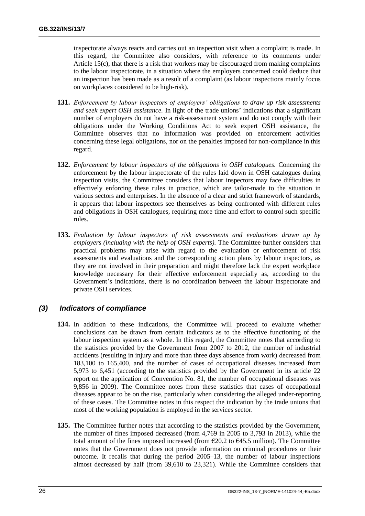inspectorate always reacts and carries out an inspection visit when a complaint is made. In this regard, the Committee also considers, with reference to its comments under Article 15(c), that there is a risk that workers may be discouraged from making complaints to the labour inspectorate, in a situation where the employers concerned could deduce that an inspection has been made as a result of a complaint (as labour inspections mainly focus on workplaces considered to be high-risk).

- **131.** *Enforcement by labour inspectors of employers' obligations to draw up risk assessments and seek expert OSH assistance.* In light of the trade unions' indications that a significant number of employers do not have a risk-assessment system and do not comply with their obligations under the Working Conditions Act to seek expert OSH assistance, the Committee observes that no information was provided on enforcement activities concerning these legal obligations, nor on the penalties imposed for non-compliance in this regard.
- **132.** *Enforcement by labour inspectors of the obligations in OSH catalogues.* Concerning the enforcement by the labour inspectorate of the rules laid down in OSH catalogues during inspection visits, the Committee considers that labour inspectors may face difficulties in effectively enforcing these rules in practice, which are tailor-made to the situation in various sectors and enterprises. In the absence of a clear and strict framework of standards, it appears that labour inspectors see themselves as being confronted with different rules and obligations in OSH catalogues, requiring more time and effort to control such specific rules.
- **133.** *Evaluation by labour inspectors of risk assessments and evaluations drawn up by employers (including with the help of OSH experts).* The Committee further considers that practical problems may arise with regard to the evaluation or enforcement of risk assessments and evaluations and the corresponding action plans by labour inspectors, as they are not involved in their preparation and might therefore lack the expert workplace knowledge necessary for their effective enforcement especially as, according to the Government's indications, there is no coordination between the labour inspectorate and private OSH services.

# *(3) Indicators of compliance*

- 134. In addition to these indications, the Committee will proceed to evaluate whether conclusions can be drawn from certain indicators as to the effective functioning of the labour inspection system as a whole. In this regard, the Committee notes that according to the statistics provided by the Government from 2007 to 2012, the number of industrial accidents (resulting in injury and more than three days absence from work) decreased from 183,100 to 165,400, and the number of cases of occupational diseases increased from 5,973 to 6,451 (according to the statistics provided by the Government in its article 22 report on the application of Convention No. 81, the number of occupational diseases was 9,856 in 2009). The Committee notes from these statistics that cases of occupational diseases appear to be on the rise, particularly when considering the alleged under-reporting of these cases. The Committee notes in this respect the indication by the trade unions that most of the working population is employed in the services sector.
- **135.** The Committee further notes that according to the statistics provided by the Government, the number of fines imposed decreased (from 4,769 in 2005 to 3,793 in 2013), while the total amount of the fines imposed increased (from  $\epsilon$ 20.2 to  $\epsilon$ 45.5 million). The Committee notes that the Government does not provide information on criminal procedures or their outcome. It recalls that during the period 2005–13, the number of labour inspections almost decreased by half (from 39,610 to 23,321). While the Committee considers that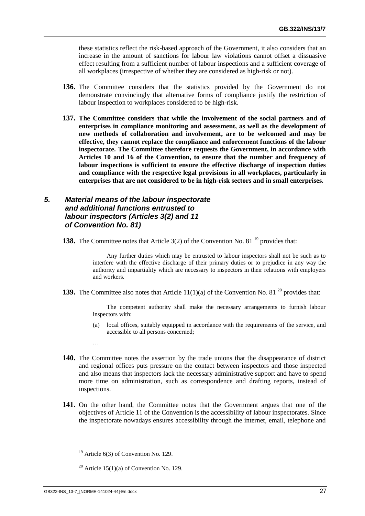these statistics reflect the risk-based approach of the Government, it also considers that an increase in the amount of sanctions for labour law violations cannot offset a dissuasive effect resulting from a sufficient number of labour inspections and a sufficient coverage of all workplaces (irrespective of whether they are considered as high-risk or not).

- **136.** The Committee considers that the statistics provided by the Government do not demonstrate convincingly that alternative forms of compliance justify the restriction of labour inspection to workplaces considered to be high-risk.
- **137. The Committee considers that while the involvement of the social partners and of enterprises in compliance monitoring and assessment, as well as the development of new methods of collaboration and involvement, are to be welcomed and may be effective, they cannot replace the compliance and enforcement functions of the labour inspectorate. The Committee therefore requests the Government, in accordance with Articles 10 and 16 of the Convention, to ensure that the number and frequency of labour inspections is sufficient to ensure the effective discharge of inspection duties and compliance with the respective legal provisions in all workplaces, particularly in enterprises that are not considered to be in high-risk sectors and in small enterprises.**

# <span id="page-30-0"></span>*5. Material means of the labour inspectorate and additional functions entrusted to labour inspectors (Articles 3(2) and 11 of Convention No. 81)*

**138.** The Committee notes that Article 3(2) of the Convention No. 81<sup>19</sup> provides that:

Any further duties which may be entrusted to labour inspectors shall not be such as to interfere with the effective discharge of their primary duties or to prejudice in any way the authority and impartiality which are necessary to inspectors in their relations with employers and workers.

**139.** The Committee also notes that Article  $11(1)(a)$  of the Convention No. 81<sup>20</sup> provides that:

The competent authority shall make the necessary arrangements to furnish labour inspectors with:

- (a) local offices, suitably equipped in accordance with the requirements of the service, and accessible to all persons concerned;
- **140.** The Committee notes the assertion by the trade unions that the disappearance of district and regional offices puts pressure on the contact between inspectors and those inspected and also means that inspectors lack the necessary administrative support and have to spend more time on administration, such as correspondence and drafting reports, instead of inspections.
- **141.** On the other hand, the Committee notes that the Government argues that one of the objectives of Article 11 of the Convention is the accessibility of labour inspectorates. Since the inspectorate nowadays ensures accessibility through the internet, email, telephone and

…

 $19$  Article 6(3) of Convention No. 129.

<sup>&</sup>lt;sup>20</sup> Article 15(1)(a) of Convention No. 129.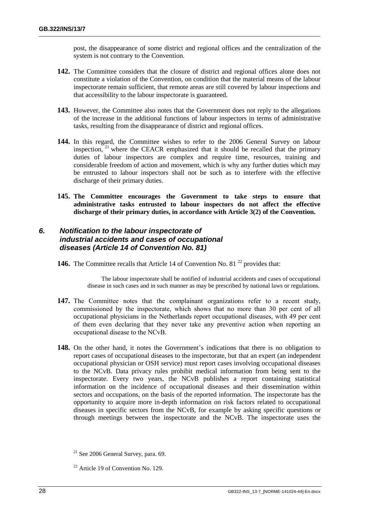post, the disappearance of some district and regional offices and the centralization of the system is not contrary to the Convention.

- **142.** The Committee considers that the closure of district and regional offices alone does not constitute a violation of the Convention, on condition that the material means of the labour inspectorate remain sufficient, that remote areas are still covered by labour inspections and that accessibility to the labour inspectorate is guaranteed.
- **143.** However, the Committee also notes that the Government does not reply to the allegations of the increase in the additional functions of labour inspectors in terms of administrative tasks, resulting from the disappearance of district and regional offices.
- **144.** In this regard, the Committee wishes to refer to the 2006 General Survey on labour inspection, <sup>21</sup> where the CEACR emphasized that it should be recalled that the primary duties of labour inspectors are complex and require time, resources, training and considerable freedom of action and movement, which is why any further duties which may be entrusted to labour inspectors shall not be such as to interfere with the effective discharge of their primary duties.
- **145. The Committee encourages the Government to take steps to ensure that administrative tasks entrusted to labour inspectors do not affect the effective discharge of their primary duties, in accordance with Article 3(2) of the Convention.**

# <span id="page-31-0"></span>*6. Notification to the labour inspectorate of industrial accidents and cases of occupational diseases (Article 14 of Convention No. 81)*

**146.** The Committee recalls that Article 14 of Convention No. 81<sup>22</sup> provides that:

The labour inspectorate shall be notified of industrial accidents and cases of occupational disease in such cases and in such manner as may be prescribed by national laws or regulations.

- 147. The Committee notes that the complainant organizations refer to a recent study, commissioned by the inspectorate, which shows that no more than 30 per cent of all occupational physicians in the Netherlands report occupational diseases, with 49 per cent of them even declaring that they never take any preventive action when reporting an occupational disease to the NCvB.
- **148.** On the other hand, it notes the Government's indications that there is no obligation to report cases of occupational diseases to the inspectorate, but that an expert (an independent occupational physician or OSH service) must report cases involving occupational diseases to the NCvB. Data privacy rules prohibit medical information from being sent to the inspectorate. Every two years, the NCvB publishes a report containing statistical information on the incidence of occupational diseases and their dissemination within sectors and occupations, on the basis of the reported information. The inspectorate has the opportunity to acquire more in-depth information on risk factors related to occupational diseases in specific sectors from the NCvB, for example by asking specific questions or through meetings between the inspectorate and the NCvB. The inspectorate uses the

 $21$  See 2006 General Survey, para. 69.

 $22$  Article 19 of Convention No. 129.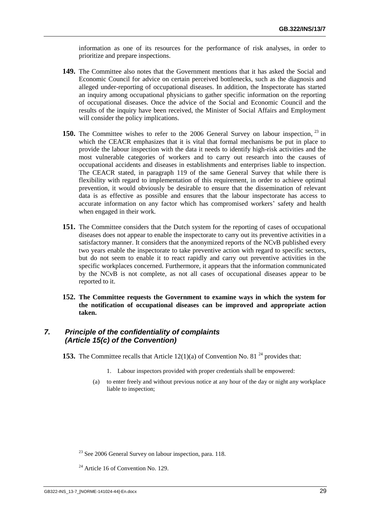information as one of its resources for the performance of risk analyses, in order to prioritize and prepare inspections.

- **149.** The Committee also notes that the Government mentions that it has asked the Social and Economic Council for advice on certain perceived bottlenecks, such as the diagnosis and alleged under-reporting of occupational diseases. In addition, the Inspectorate has started an inquiry among occupational physicians to gather specific information on the reporting of occupational diseases. Once the advice of the Social and Economic Council and the results of the inquiry have been received, the Minister of Social Affairs and Employment will consider the policy implications.
- 150. The Committee wishes to refer to the 2006 General Survey on labour inspection, <sup>23</sup> in which the CEACR emphasizes that it is vital that formal mechanisms be put in place to provide the labour inspection with the data it needs to identify high-risk activities and the most vulnerable categories of workers and to carry out research into the causes of occupational accidents and diseases in establishments and enterprises liable to inspection. The CEACR stated, in paragraph 119 of the same General Survey that while there is flexibility with regard to implementation of this requirement, in order to achieve optimal prevention, it would obviously be desirable to ensure that the dissemination of relevant data is as effective as possible and ensures that the labour inspectorate has access to accurate information on any factor which has compromised workers' safety and health when engaged in their work.
- **151.** The Committee considers that the Dutch system for the reporting of cases of occupational diseases does not appear to enable the inspectorate to carry out its preventive activities in a satisfactory manner. It considers that the anonymized reports of the NCvB published every two years enable the inspectorate to take preventive action with regard to specific sectors, but do not seem to enable it to react rapidly and carry out preventive activities in the specific workplaces concerned. Furthermore, it appears that the information communicated by the NCvB is not complete, as not all cases of occupational diseases appear to be reported to it.
- **152. The Committee requests the Government to examine ways in which the system for the notification of occupational diseases can be improved and appropriate action taken.**

# <span id="page-32-0"></span>*7. Principle of the confidentiality of complaints (Article 15(c) of the Convention)*

- **153.** The Committee recalls that Article  $12(1)(a)$  of Convention No. 81<sup>24</sup> provides that:
	- 1. Labour inspectors provided with proper credentials shall be empowered:
	- (a) to enter freely and without previous notice at any hour of the day or night any workplace liable to inspection;

 $23$  See 2006 General Survey on labour inspection, para. 118.

 $24$  Article 16 of Convention No. 129.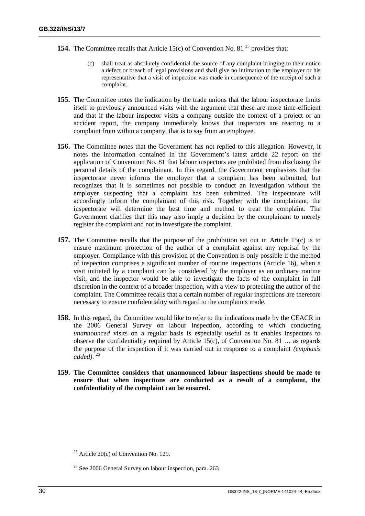- **154.** The Committee recalls that Article 15(c) of Convention No. 81<sup>25</sup> provides that:
	- (c) shall treat as absolutely confidential the source of any complaint bringing to their notice a defect or breach of legal provisions and shall give no intimation to the employer or his representative that a visit of inspection was made in consequence of the receipt of such a complaint.
- **155.** The Committee notes the indication by the trade unions that the labour inspectorate limits itself to previously announced visits with the argument that these are more time-efficient and that if the labour inspector visits a company outside the context of a project or an accident report, the company immediately knows that inspectors are reacting to a complaint from within a company, that is to say from an employee.
- **156.** The Committee notes that the Government has not replied to this allegation. However, it notes the information contained in the Government's latest article 22 report on the application of Convention No. 81 that labour inspectors are prohibited from disclosing the personal details of the complainant. In this regard, the Government emphasizes that the inspectorate never informs the employer that a complaint has been submitted, but recognizes that it is sometimes not possible to conduct an investigation without the employer suspecting that a complaint has been submitted. The inspectorate will accordingly inform the complainant of this risk. Together with the complainant, the inspectorate will determine the best time and method to treat the complaint. The Government clarifies that this may also imply a decision by the complainant to merely register the complaint and not to investigate the complaint.
- **157.** The Committee recalls that the purpose of the prohibition set out in Article 15(c) is to ensure maximum protection of the author of a complaint against any reprisal by the employer. Compliance with this provision of the Convention is only possible if the method of inspection comprises a significant number of routine inspections (Article 16), when a visit initiated by a complaint can be considered by the employer as an ordinary routine visit, and the inspector would be able to investigate the facts of the complaint in full discretion in the context of a broader inspection, with a view to protecting the author of the complaint. The Committee recalls that a certain number of regular inspections are therefore necessary to ensure confidentiality with regard to the complaints made.
- **158.** In this regard, the Committee would like to refer to the indications made by the CEACR in the 2006 General Survey on labour inspection, according to which conducting *unannounced* visits on a regular basis is especially useful as it enables inspectors to observe the confidentiality required by Article 15(c), of Convention No. 81  $\dots$  as regards the purpose of the inspection if it was carried out in response to a complaint *(emphasis added)*. 26
- **159. The Committee considers that unannounced labour inspections should be made to ensure that when inspections are conducted as a result of a complaint, the confidentiality of the complaint can be ensured.**

<sup>&</sup>lt;sup>25</sup> Article 20(c) of Convention No. 129.

 $26$  See 2006 General Survey on labour inspection, para. 263.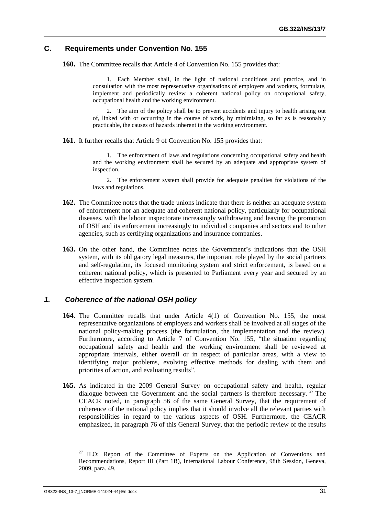#### <span id="page-34-0"></span>**C. Requirements under Convention No. 155**

**160.** The Committee recalls that Article 4 of Convention No. 155 provides that:

1. Each Member shall, in the light of national conditions and practice, and in consultation with the most representative organisations of employers and workers, formulate, implement and periodically review a coherent national policy on occupational safety, occupational health and the working environment.

2. The aim of the policy shall be to prevent accidents and injury to health arising out of, linked with or occurring in the course of work, by minimising, so far as is reasonably practicable, the causes of hazards inherent in the working environment.

**161.** It further recalls that Article 9 of Convention No. 155 provides that:

1. The enforcement of laws and regulations concerning occupational safety and health and the working environment shall be secured by an adequate and appropriate system of inspection.

2. The enforcement system shall provide for adequate penalties for violations of the laws and regulations.

- **162.** The Committee notes that the trade unions indicate that there is neither an adequate system of enforcement nor an adequate and coherent national policy, particularly for occupational diseases, with the labour inspectorate increasingly withdrawing and leaving the promotion of OSH and its enforcement increasingly to individual companies and sectors and to other agencies, such as certifying organizations and insurance companies.
- **163.** On the other hand, the Committee notes the Government's indications that the OSH system, with its obligatory legal measures, the important role played by the social partners and self-regulation, its focused monitoring system and strict enforcement, is based on a coherent national policy, which is presented to Parliament every year and secured by an effective inspection system.

# <span id="page-34-1"></span>*1. Coherence of the national OSH policy*

- **164.** The Committee recalls that under Article 4(1) of Convention No. 155, the most representative organizations of employers and workers shall be involved at all stages of the national policy-making process (the formulation, the implementation and the review). Furthermore, according to Article 7 of Convention No. 155, "the situation regarding occupational safety and health and the working environment shall be reviewed at appropriate intervals, either overall or in respect of particular areas, with a view to identifying major problems, evolving effective methods for dealing with them and priorities of action, and evaluating results".
- **165.** As indicated in the 2009 General Survey on occupational safety and health, regular dialogue between the Government and the social partners is therefore necessary.  $2<sup>7</sup>$  The CEACR noted, in paragraph 56 of the same General Survey, that the requirement of coherence of the national policy implies that it should involve all the relevant parties with responsibilities in regard to the various aspects of OSH. Furthermore, the CEACR emphasized, in paragraph 76 of this General Survey, that the periodic review of the results

 $27$  ILO: Report of the Committee of Experts on the Application of Conventions and Recommendations, Report III (Part 1B), International Labour Conference, 98th Session, Geneva, 2009, para. 49.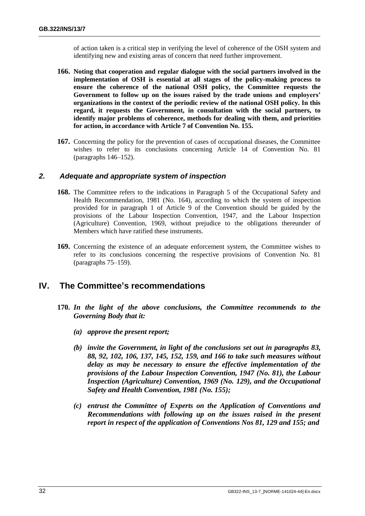of action taken is a critical step in verifying the level of coherence of the OSH system and identifying new and existing areas of concern that need further improvement.

- **166. Noting that cooperation and regular dialogue with the social partners involved in the implementation of OSH is essential at all stages of the policy-making process to ensure the coherence of the national OSH policy, the Committee requests the Government to follow up on the issues raised by the trade unions and employers' organizations in the context of the periodic review of the national OSH policy. In this regard, it requests the Government, in consultation with the social partners, to identify major problems of coherence, methods for dealing with them, and priorities for action, in accordance with Article 7 of Convention No. 155.**
- **167.** Concerning the policy for the prevention of cases of occupational diseases, the Committee wishes to refer to its conclusions concerning Article 14 of Convention No. 81 (paragraphs 146–152).

#### <span id="page-35-0"></span>*2. Adequate and appropriate system of inspection*

- **168.** The Committee refers to the indications in Paragraph 5 of the Occupational Safety and Health Recommendation, 1981 (No. 164), according to which the system of inspection provided for in paragraph 1 of Article 9 of the Convention should be guided by the provisions of the Labour Inspection Convention, 1947, and the Labour Inspection (Agriculture) Convention, 1969, without prejudice to the obligations thereunder of Members which have ratified these instruments.
- **169.** Concerning the existence of an adequate enforcement system, the Committee wishes to refer to its conclusions concerning the respective provisions of Convention No. 81 (paragraphs 75–159).

# <span id="page-35-1"></span>**IV. The Committee's recommendations**

- **170.** *In the light of the above conclusions, the Committee recommends to the Governing Body that it:*
	- *(a) approve the present report;*
	- *(b) invite the Government, in light of the conclusions set out in paragraphs 83, 88, 92, 102, 106, 137, 145, 152, 159, and 166 to take such measures without delay as may be necessary to ensure the effective implementation of the provisions of the Labour Inspection Convention, 1947 (No. 81), the Labour Inspection (Agriculture) Convention, 1969 (No. 129), and the Occupational Safety and Health Convention, 1981 (No. 155);*
	- *(c) entrust the Committee of Experts on the Application of Conventions and Recommendations with following up on the issues raised in the present report in respect of the application of Conventions Nos 81, 129 and 155; and*